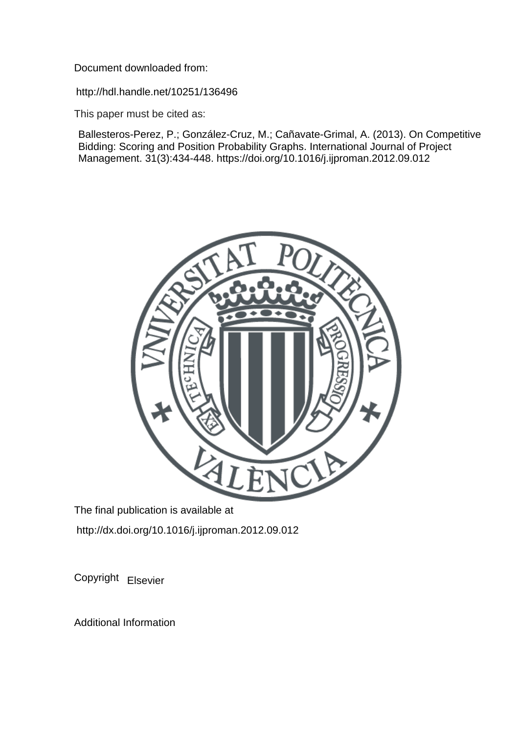Document downloaded from:

http://hdl.handle.net/10251/136496

This paper must be cited as:

Ballesteros-Perez, P.; González-Cruz, M.; Cañavate-Grimal, A. (2013). On Competitive Bidding: Scoring and Position Probability Graphs. International Journal of Project Management. 31(3):434-448. https://doi.org/10.1016/j.ijproman.2012.09.012



The final publication is available at http://dx.doi.org/10.1016/j.ijproman.2012.09.012

Copyright Elsevier

Additional Information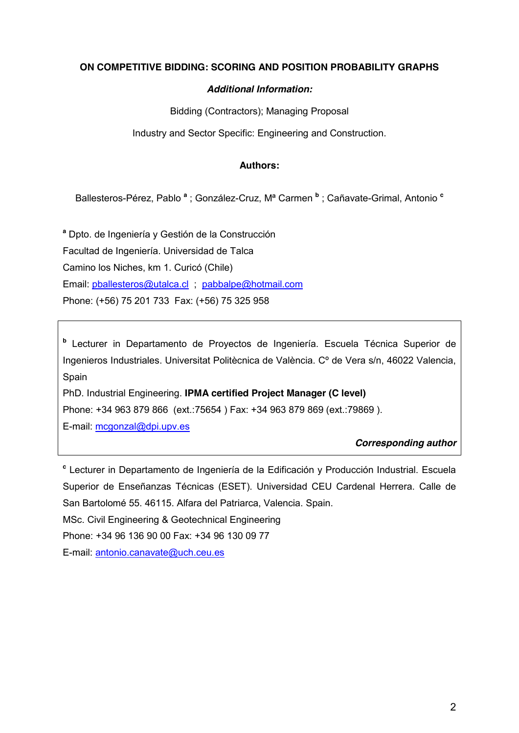# **ON COMPETITIVE BIDDING: SCORING AND POSITION PROBABILITY GRAPHS**

### *Additional Information:*

Bidding (Contractors); Managing Proposal

Industry and Sector Specific: Engineering and Construction.

### **Authors:**

Ballesteros-Pérez, Pablo **<sup>a</sup>** ; González-Cruz, Mª Carmen **<sup>b</sup>** ; Cañavate-Grimal, Antonio **<sup>c</sup>**

**<sup>a</sup>** Dpto. de Ingeniería y Gestión de la Construcción Facultad de Ingeniería. Universidad de Talca Camino los Niches, km 1. Curicó (Chile) Email: [pballesteros@utalca.cl](mailto:pballesteros@utalca.cl) ; [pabbalpe@hotmail.com](mailto:pabbalpe@hotmail.com) Phone: (+56) 75 201 733 Fax: (+56) 75 325 958

**<sup>b</sup>** Lecturer in Departamento de Proyectos de Ingeniería. Escuela Técnica Superior de Ingenieros Industriales. Universitat Politècnica de València. Cº de Vera s/n, 46022 Valencia, Spain

PhD. Industrial Engineering. **IPMA certified Project Manager (C level)**

Phone: +34 963 879 866 (ext.:75654 ) Fax: +34 963 879 869 (ext.:79869 ).

E-mail: [mcgonzal@dpi.upv.es](mailto:mcgonzal@dpi.upv.es)

# *Corresponding author*

**<sup>c</sup>** Lecturer in Departamento de Ingeniería de la Edificación y Producción Industrial. Escuela Superior de Enseñanzas Técnicas (ESET). Universidad CEU Cardenal Herrera. Calle de San Bartolomé 55. 46115. Alfara del Patriarca, Valencia. Spain. MSc. Civil Engineering & Geotechnical Engineering Phone: +34 96 136 90 00 Fax: +34 96 130 09 77

E-mail: [antonio.canavate@uch.ceu.es](mailto:antonio.canavate@uch.ceu.es)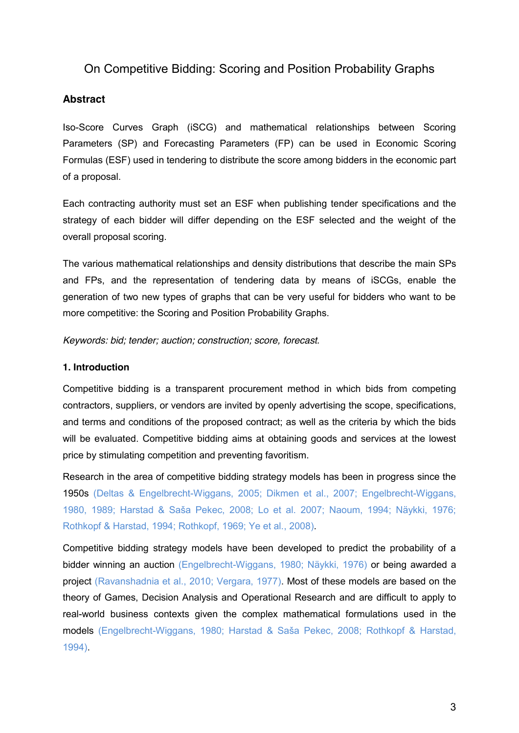# On Competitive Bidding: Scoring and Position Probability Graphs

# **Abstract**

Iso-Score Curves Graph (iSCG) and mathematical relationships between Scoring Parameters (SP) and Forecasting Parameters (FP) can be used in Economic Scoring Formulas (ESF) used in tendering to distribute the score among bidders in the economic part of a proposal.

Each contracting authority must set an ESF when publishing tender specifications and the strategy of each bidder will differ depending on the ESF selected and the weight of the overall proposal scoring.

The various mathematical relationships and density distributions that describe the main SPs and FPs, and the representation of tendering data by means of iSCGs, enable the generation of two new types of graphs that can be very useful for bidders who want to be more competitive: the Scoring and Position Probability Graphs.

*Keywords: bid; tender; auction; construction; score, forecast.*

## **1. Introduction**

Competitive bidding is a [transparent](http://www.businessdictionary.com/definition/transparent.html) [procurement](http://www.businessdictionary.com/definition/procurement.html) [method](http://www.businessdictionary.com/definition/method.html) in which [bids](http://www.businessdictionary.com/definition/bid.html) from [competing](http://www.businessdictionary.com/definition/competing.html) [contractors,](http://www.businessdictionary.com/definition/contractor.html) [suppliers,](http://www.businessdictionary.com/definition/supplier.html) or [vendors](http://www.businessdictionary.com/definition/vendor.html) are invited by openly [advertising](http://www.businessdictionary.com/definition/advertising.html) the [scope,](http://www.businessdictionary.com/definition/scope.html) [specifications,](http://www.businessdictionary.com/definition/specification-spec.html) and [terms and conditions](http://www.businessdictionary.com/definition/terms-and-conditions.html) of the proposed [contract;](http://www.businessdictionary.com/definition/contract.html) as well as the [criteria](http://www.businessdictionary.com/definition/criteria.html) by which the bids will be evaluated. [Competitive](http://www.investorwords.com/997/competitive.html) [bidding](http://www.investorwords.com/8993/bidding.html) [aims](http://www.businessdictionary.com/definition/aim.html) at obtaining [goods](http://www.businessdictionary.com/definition/goods.html) and [services](http://www.businessdictionary.com/definition/services.html) at the lowest [price](http://www.businessdictionary.com/definition/price.html) by stimulating [competition](http://www.businessdictionary.com/definition/competition.html) and preventing favoritism.

Research in the area of competitive bidding strategy models has been in progress since the 1950s (Deltas & Engelbrecht-Wiggans, 2005; Dikmen et al., 2007; Engelbrecht-Wiggans, 1980, 1989; Harstad & Saša Pekec, 2008; Lo et al. 2007; Naoum, 1994; Näykki, 1976; Rothkopf & Harstad, 1994; Rothkopf, 1969; Ye et al., 2008).

Competitive bidding strategy models have been developed to predict the probability of a bidder winning an auction (Engelbrecht-Wiggans, 1980; Näykki, 1976) or being awarded a project (Ravanshadnia et al., 2010; Vergara, 1977). Most of these models are based on the theory of Games, Decision Analysis and Operational Research and are difficult to apply to real-world business contexts given the complex mathematical formulations used in the models (Engelbrecht-Wiggans, 1980; Harstad & Saša Pekec, 2008; Rothkopf & Harstad, 1994).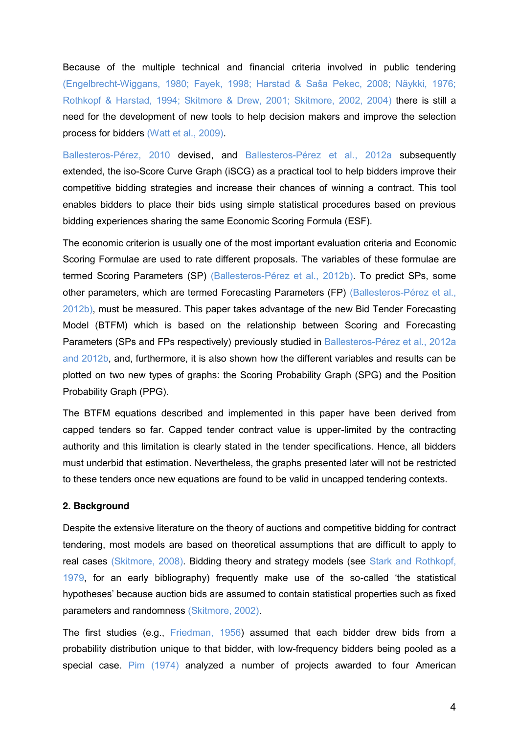Because of the multiple technical and financial criteria involved in public tendering (Engelbrecht-Wiggans, 1980; Fayek, 1998; Harstad & Saša Pekec, 2008; Näykki, 1976; Rothkopf & Harstad, 1994; Skitmore & Drew, 2001; Skitmore, 2002, 2004) there is still a need for the development of new tools to help decision makers and improve the selection process for bidders (Watt et al., 2009).

Ballesteros-Pérez, 2010 devised, and Ballesteros-Pérez et al., 2012a subsequently extended, the iso-Score Curve Graph (iSCG) as a practical tool to help bidders improve their competitive bidding strategies and increase their chances of winning a contract. This tool enables bidders to place their bids using simple statistical procedures based on previous bidding experiences sharing the same Economic Scoring Formula (ESF).

The economic criterion is usually one of the most important evaluation criteria and Economic Scoring Formulae are used to rate different proposals. The variables of these formulae are termed Scoring Parameters (SP) (Ballesteros-Pérez et al., 2012b). To predict SPs, some other parameters, which are termed Forecasting Parameters (FP) (Ballesteros-Pérez et al., 2012b), must be measured. This paper takes advantage of the new Bid Tender Forecasting Model (BTFM) which is based on the relationship between Scoring and Forecasting Parameters (SPs and FPs respectively) previously studied in Ballesteros-Pérez et al., 2012a and 2012b, and, furthermore, it is also shown how the different variables and results can be plotted on two new types of graphs: the Scoring Probability Graph (SPG) and the Position Probability Graph (PPG).

The BTFM equations described and implemented in this paper have been derived from capped tenders so far. Capped tender contract value is upper-limited by the contracting authority and this limitation is clearly stated in the tender specifications. Hence, all bidders must underbid that estimation. Nevertheless, the graphs presented later will not be restricted to these tenders once new equations are found to be valid in uncapped tendering contexts.

#### **2. Background**

Despite the extensive literature on the theory of auctions and competitive bidding for contract tendering, most models are based on theoretical assumptions that are difficult to apply to real cases (Skitmore, 2008). Bidding theory and strategy models (see Stark and Rothkopf, 1979, for an early bibliography) frequently make use of the so-called 'the statistical hypotheses' because auction bids are assumed to contain statistical properties such as fixed parameters and randomness (Skitmore, 2002).

The first studies (e.g., Friedman, 1956) assumed that each bidder drew bids from a probability distribution unique to that bidder, with low-frequency bidders being pooled as a special case. Pim (1974) analyzed a number of projects awarded to four American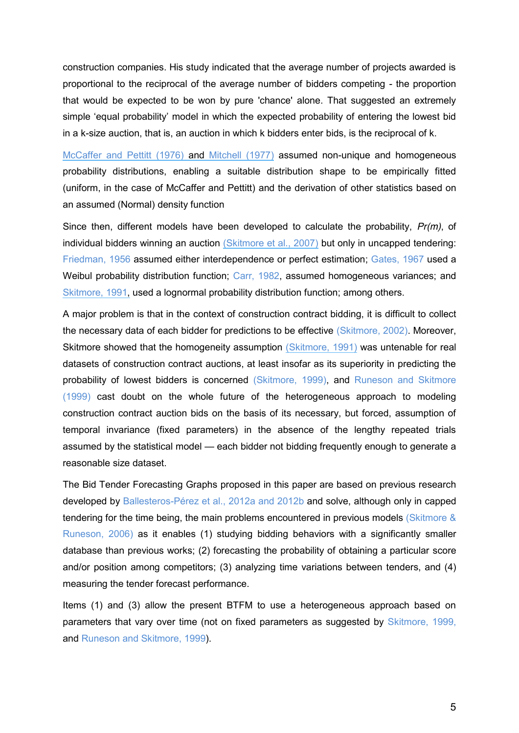construction companies. His study indicated that the average number of projects awarded is proportional to the reciprocal of the average number of bidders competing - the proportion that would be expected to be won by pure 'chance' alone. That suggested an extremely simple 'equal probability' model in which the expected probability of entering the lowest bid in a k-size auction, that is, an auction in which k bidders enter bids, is the reciprocal of k.

[McCaffer and Pettitt \(1976\)](https://www.researchgate.net/publication/272541571_The_Probability_of_Being_the_Lowest_Bidder?el=1_x_8&enrichId=rgreq-ce0ff6ed-2474-483a-ae2c-71a7c4b682c7&enrichSource=Y292ZXJQYWdlOzI1NzA5NDY3MTtBUzoxMzE1NDg4NzU1OTU3NzZAMTQwODM3NTEwNDI5Ng==) and Mitchell (1977) assumed non-unique and homogeneous probability distributions, enabling a suitable distribution shape to be empirically fitted (uniform, in the case of McCaffer and Pettitt) and the derivation of other statistics based on an assumed (Normal) density function

Since then, different models have been developed to calculate the probability, *Pr(m)*, of individual bidders winning an auction [\(Skitmore et al., 2007\)](https://www.researchgate.net/publication/43474832_Gates) but only in uncapped tendering: Friedman, 1956 assumed either interdependence or perfect estimation; Gates, 1967 used a Weibul probability distribution function; Carr, 1982, assumed homogeneous variances; and [Skitmore, 1991,](https://www.researchgate.net/publication/233227821_The_construction_contract_bidder_homogeneity_assumption_An_empirical_test?el=1_x_8&enrichId=rgreq-ce0ff6ed-2474-483a-ae2c-71a7c4b682c7&enrichSource=Y292ZXJQYWdlOzI1NzA5NDY3MTtBUzoxMzE1NDg4NzU1OTU3NzZAMTQwODM3NTEwNDI5Ng==) used a lognormal probability distribution function; among others.

A major problem is that in the context of construction contract bidding, it is difficult to collect the necessary data of each bidder for predictions to be effective (Skitmore, 2002). Moreover, Skitmore showed that the homogeneity assumption [\(Skitmore, 1991\)](https://www.researchgate.net/publication/233227821_The_construction_contract_bidder_homogeneity_assumption_An_empirical_test?el=1_x_8&enrichId=rgreq-ce0ff6ed-2474-483a-ae2c-71a7c4b682c7&enrichSource=Y292ZXJQYWdlOzI1NzA5NDY3MTtBUzoxMzE1NDg4NzU1OTU3NzZAMTQwODM3NTEwNDI5Ng==) was untenable for real datasets of construction contract auctions, at least insofar as its superiority in predicting the probability of lowest bidders is concerned (Skitmore, 1999), and Runeson and Skitmore (1999) cast doubt on the whole future of the heterogeneous approach to modeling construction contract auction bids on the basis of its necessary, but forced, assumption of temporal invariance (fixed parameters) in the absence of the lengthy repeated trials assumed by the statistical model — each bidder not bidding frequently enough to generate a reasonable size dataset.

The Bid Tender Forecasting Graphs proposed in this paper are based on previous research developed by Ballesteros-Pérez et al., 2012a and 2012b and solve, although only in capped tendering for the time being, the main problems encountered in previous models (Skitmore & Runeson, 2006) as it enables (1) studying bidding behaviors with a significantly smaller database than previous works; (2) forecasting the probability of obtaining a particular score and/or position among competitors; (3) analyzing time variations between tenders, and (4) measuring the tender forecast performance.

Items (1) and (3) allow the present BTFM to use a heterogeneous approach based on parameters that vary over time (not on fixed parameters as suggested by Skitmore, 1999, and Runeson and Skitmore, 1999).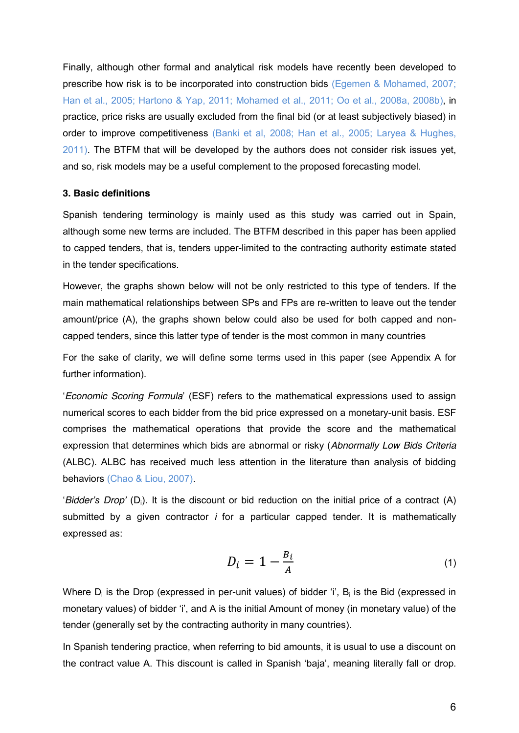Finally, although other formal and analytical risk models have recently been developed to prescribe how risk is to be incorporated into construction bids (Egemen & Mohamed, 2007; Han et al., 2005; Hartono & Yap, 2011; Mohamed et al., 2011; Oo et al., 2008a, 2008b), in practice, price risks are usually excluded from the final bid (or at least subjectively biased) in order to improve competitiveness (Banki et al, 2008; Han et al., 2005; Laryea & Hughes, 2011). The BTFM that will be developed by the authors does not consider risk issues yet, and so, risk models may be a useful complement to the proposed forecasting model.

#### **3. Basic definitions**

Spanish tendering terminology is mainly used as this study was carried out in Spain, although some new terms are included. The BTFM described in this paper has been applied to capped tenders, that is, tenders upper-limited to the contracting authority estimate stated in the tender specifications.

However, the graphs shown below will not be only restricted to this type of tenders. If the main mathematical relationships between SPs and FPs are re-written to leave out the tender amount/price (A), the graphs shown below could also be used for both capped and noncapped tenders, since this latter type of tender is the most common in many countries

For the sake of clarity, we will define some terms used in this paper (see Appendix A for further information).

'*Economic Scoring Formula*' (ESF) refers to the mathematical expressions used to assign numerical scores to each bidder from the bid price expressed on a monetary-unit basis. ESF comprises the mathematical operations that provide the score and the mathematical expression that determines which bids are abnormal or risky (*Abnormally Low Bids Criteria* (ALBC). ALBC has received much less attention in the literature than analysis of bidding behaviors (Chao & Liou, 2007).

'*Bidder's Drop'* (Di). It is the discount or bid reduction on the initial price of a contract (A) submitted by a given contractor *i* for a particular capped tender. It is mathematically expressed as:

$$
D_i = 1 - \frac{B_i}{A} \tag{1}
$$

Where  $D_i$  is the Drop (expressed in per-unit values) of bidder 'i',  $B_i$  is the Bid (expressed in monetary values) of bidder 'i', and A is the initial Amount of money (in monetary value) of the tender (generally set by the contracting authority in many countries).

In Spanish tendering practice, when referring to bid amounts, it is usual to use a discount on the contract value A. This discount is called in Spanish 'baja', meaning literally fall or drop.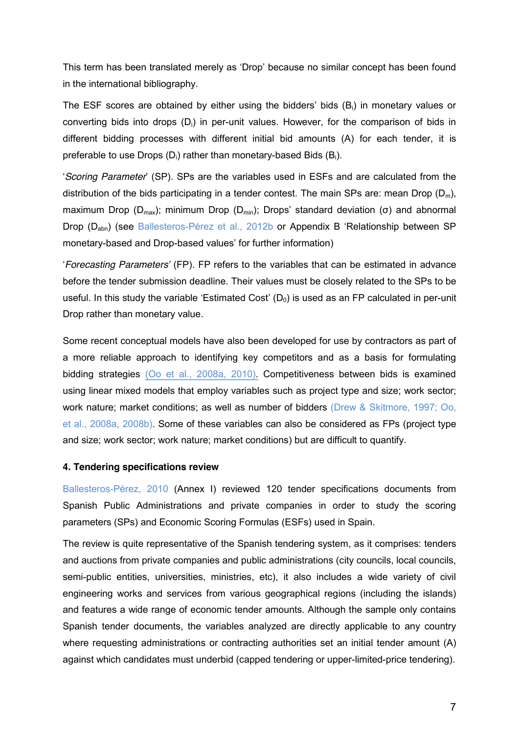This term has been translated merely as 'Drop' because no similar concept has been found in the international bibliography.

The ESF scores are obtained by either using the bidders' bids  $(B<sub>i</sub>)$  in monetary values or converting bids into drops  $(D_i)$  in per-unit values. However, for the comparison of bids in different bidding processes with different initial bid amounts (A) for each tender, it is preferable to use Drops  $(D_i)$  rather than monetary-based Bids  $(B_i)$ .

'*Scoring Parameter*' (SP). SPs are the variables used in ESFs and are calculated from the distribution of the bids participating in a tender contest. The main SPs are: mean Drop  $(D_m)$ , maximum Drop (D<sub>max</sub>); minimum Drop (D<sub>min</sub>); Drops' standard deviation (σ) and abnormal Drop (D<sub>abn</sub>) (see Ballesteros-Pérez et al., 2012b or Appendix B 'Relationship between SP monetary-based and Drop-based values' for further information)

'*Forecasting Parameters'* (FP). FP refers to the variables that can be estimated in advance before the tender submission deadline. Their values must be closely related to the SPs to be useful. In this study the variable 'Estimated Cost'  $(D_0)$  is used as an FP calculated in per-unit Drop rather than monetary value.

Some recent conceptual models have also been developed for use by contractors as part of a more reliable approach to identifying key competitors and as a basis for formulating bidding strategies [\(Oo et al., 2008a, 2010\).](https://www.researchgate.net/publication/227609778_Competitor_analysis_in_construction_bidding?el=1_x_8&enrichId=rgreq-ce0ff6ed-2474-483a-ae2c-71a7c4b682c7&enrichSource=Y292ZXJQYWdlOzI1NzA5NDY3MTtBUzoxMzE1NDg4NzU1OTU3NzZAMTQwODM3NTEwNDI5Ng==) Competitiveness between bids is examined using linear mixed models that employ variables such as project type and size; work sector; work nature; market conditions; as well as number of bidders (Drew & Skitmore, 1997; Oo, et al., 2008a, 2008b). Some of these variables can also be considered as FPs (project type and size; work sector; work nature; market conditions) but are difficult to quantify.

#### **4. Tendering specifications review**

Ballesteros-Pérez, 2010 (Annex I) reviewed 120 tender specifications documents from Spanish Public Administrations and private companies in order to study the scoring parameters (SPs) and Economic Scoring Formulas (ESFs) used in Spain.

The review is quite representative of the Spanish tendering system, as it comprises: tenders and auctions from private companies and public administrations (city councils, local councils, semi-public entities, universities, ministries, etc), it also includes a wide variety of civil engineering works and services from various geographical regions (including the islands) and features a wide range of economic tender amounts. Although the sample only contains Spanish tender documents, the variables analyzed are directly applicable to any country where requesting administrations or contracting authorities set an initial tender amount (A) against which candidates must underbid (capped tendering or upper-limited-price tendering).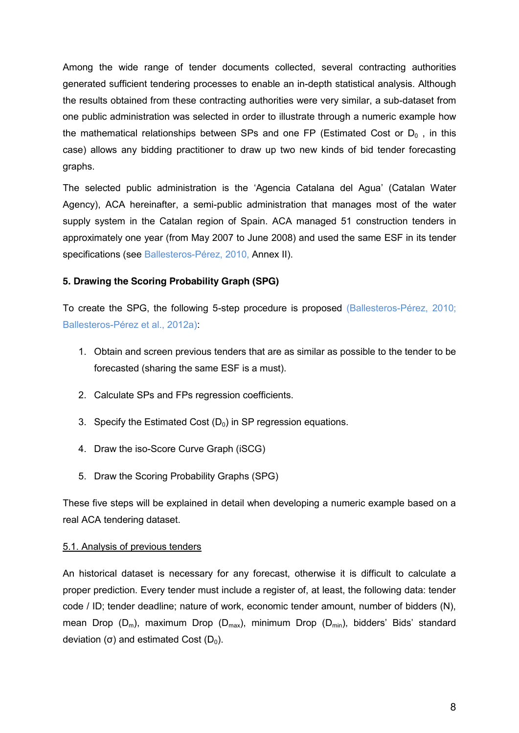Among the wide range of tender documents collected, several contracting authorities generated sufficient tendering processes to enable an in-depth statistical analysis. Although the results obtained from these contracting authorities were very similar, a sub-dataset from one public administration was selected in order to illustrate through a numeric example how the mathematical relationships between SPs and one FP (Estimated Cost or  $D_0$ , in this case) allows any bidding practitioner to draw up two new kinds of bid tender forecasting graphs.

The selected public administration is the 'Agencia Catalana del Agua' (Catalan Water Agency), ACA hereinafter, a semi-public administration that manages most of the water supply system in the Catalan region of Spain. ACA managed 51 construction tenders in approximately one year (from May 2007 to June 2008) and used the same ESF in its tender specifications (see Ballesteros-Pérez, 2010, Annex II).

# **5. Drawing the Scoring Probability Graph (SPG)**

To create the SPG, the following 5-step procedure is proposed (Ballesteros-Pérez, 2010; Ballesteros-Pérez et al., 2012a):

- 1. Obtain and screen previous tenders that are as similar as possible to the tender to be forecasted (sharing the same ESF is a must).
- 2. Calculate SPs and FPs regression coefficients.
- 3. Specify the Estimated Cost  $(D_0)$  in SP regression equations.
- 4. Draw the iso-Score Curve Graph (iSCG)
- 5. Draw the Scoring Probability Graphs (SPG)

These five steps will be explained in detail when developing a numeric example based on a real ACA tendering dataset.

# 5.1. Analysis of previous tenders

An historical dataset is necessary for any forecast, otherwise it is difficult to calculate a proper prediction. Every tender must include a register of, at least, the following data: tender code / ID; tender deadline; nature of work, economic tender amount, number of bidders (N), mean Drop (D<sub>m</sub>), maximum Drop (D<sub>max</sub>), minimum Drop (D<sub>min</sub>), bidders' Bids' standard deviation (σ) and estimated Cost ( $D_0$ ).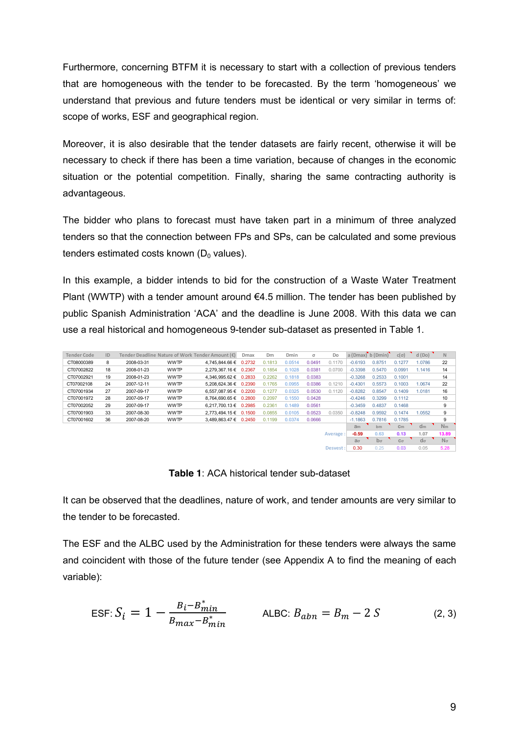Furthermore, concerning BTFM it is necessary to start with a collection of previous tenders that are homogeneous with the tender to be forecasted. By the term 'homogeneous' we understand that previous and future tenders must be identical or very similar in terms of: scope of works, ESF and geographical region.

Moreover, it is also desirable that the tender datasets are fairly recent, otherwise it will be necessary to check if there has been a time variation, because of changes in the economic situation or the potential competition. Finally, sharing the same contracting authority is advantageous.

The bidder who plans to forecast must have taken part in a minimum of three analyzed tenders so that the connection between FPs and SPs, can be calculated and some previous tenders estimated costs known  $(D_0 \text{ values})$ .

In this example, a bidder intends to bid for the construction of a Waste Water Treatment Plant (WWTP) with a tender amount around €4.5 million. The tender has been published by public Spanish Administration 'ACA' and the deadline is June 2008. With this data we can use a real historical and homogeneous 9-tender sub-dataset as presented in Table 1.

| <b>Tender Code</b> | ID |            |             | Tender Deadline Nature of Work Tender Amount (€) | <b>Dmax</b> | Dm     | <b>Dmin</b> | σ      | Do             |                | a (Dmax) b (Dmin) | $c(\sigma)$ | d(Do)     | N              |
|--------------------|----|------------|-------------|--------------------------------------------------|-------------|--------|-------------|--------|----------------|----------------|-------------------|-------------|-----------|----------------|
| CT08000389         | 8  | 2008-03-31 | <b>WWTP</b> | 4.745.844.66 €                                   | 0.2732      | 0.1813 | 0.0514      | 0.0491 | 0.1170         | $-0.6193$      | 0.8751            | 0.1277      | 1.0786    | 22             |
| CT07002822         | 18 | 2008-01-23 | <b>WWTP</b> | 2.279.367.16 €                                   | 0.2367      | 0.1854 | 0.1028      | 0.0381 | 0.0700         | $-0.3398$      | 0.5470            | 0.0991      | 1.1416    | 14             |
| CT07002921         | 19 | 2008-01-23 | <b>WWTP</b> | 4.346.995.62 €                                   | 0.2833      | 0.2262 | 0.1818      | 0.0383 |                | $-0.3268$      | 0.2533            | 0.1001      |           | 14             |
| CT07002108         | 24 | 2007-12-11 | <b>WWTP</b> | 5.208.624.36 €                                   | 0.2390      | 0.1765 | 0.0955      | 0.0386 | 0.1210         | $-0.4301$      | 0.5573            | 0.1003      | 1.0674    | 22             |
| CT07001934         | 27 | 2007-09-17 | <b>WWTP</b> | 6.557.087.95 €                                   | 0.2200      | 0.1277 | 0.0325      | 0.0530 | 0.1120         | $-0.8282$      | 0.8547            | 0.1409      | 1.0181    | 16             |
| CT07001972         | 28 | 2007-09-17 | <b>WWTP</b> | 8.764.690.65 €                                   | 0.2800      | 0.2097 | 0.1550      | 0.0428 |                | $-0.4246$      | 0.3299            | 0.1112      |           | 10             |
| CT07002052         | 29 | 2007-09-17 | <b>WWTP</b> | 6.217.700.13 €                                   | 0.2985      | 0.2361 | 0.1489      | 0.0561 |                | $-0.3459$      | 0.4837            | 0.1468      |           | 9              |
| CT07001903         | 33 | 2007-08-30 | <b>WWTP</b> | 2.773.494.15 €                                   | 0.1500      | 0.0855 | 0.0105      | 0.0523 | 0.0350         | $-0.8248$      | 0.9592            | 0.1474      | 1.0552    | 9              |
| CT07001602         | 36 | 2007-08-20 | <b>WWTP</b> | 3,489,863.47 € 0.2450                            |             | 0.1199 | 0.0374      | 0.0666 |                | $-1.1863$      | 0.7816            | 0.1785      |           | 9              |
|                    |    |            |             |                                                  |             |        |             |        |                | a <sub>m</sub> | bm                | $cm$        | dm        | N <sub>m</sub> |
|                    |    |            |             |                                                  |             |        |             |        | <b>Average</b> | $-0.59$        | 0.63              | 0.13        | 1.07      | 13.89          |
|                    |    |            |             |                                                  |             |        |             |        |                | $a\sigma$      | $b^{\sigma}$      | $C\sigma$   | $d\sigma$ | $N_{\sigma}$   |
|                    |    |            |             |                                                  |             |        |             |        | Desvest:       | 0.30           | 0.25              | 0.03        | 0.05      | 5.28           |

**Table 1**: ACA historical tender sub-dataset

It can be observed that the deadlines, nature of work, and tender amounts are very similar to the tender to be forecasted.

The ESF and the ALBC used by the Administration for these tenders were always the same and coincident with those of the future tender (see Appendix A to find the meaning of each variable):

ESF: 
$$
S_i = 1 - \frac{B_i - B_{min}^*}{B_{max} - B_{min}^*}
$$
 ALBC:  $B_{abn} = B_m - 2S$  (2, 3)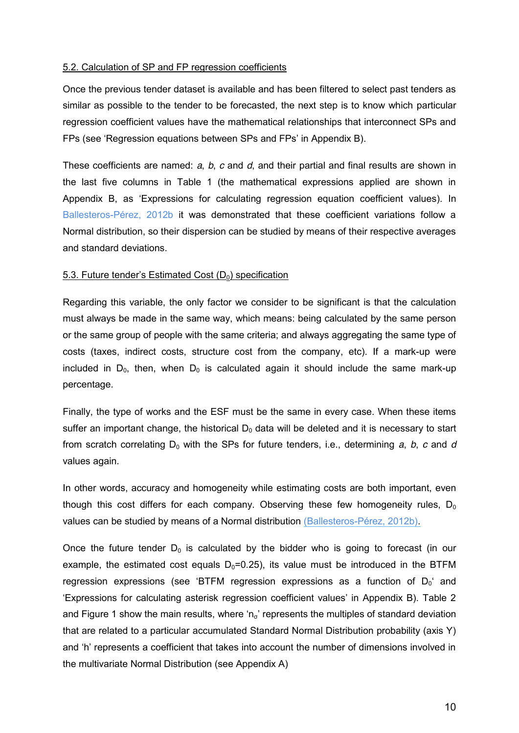#### 5.2. Calculation of SP and FP regression coefficients

Once the previous tender dataset is available and has been filtered to select past tenders as similar as possible to the tender to be forecasted, the next step is to know which particular regression coefficient values have the mathematical relationships that interconnect SPs and FPs (see 'Regression equations between SPs and FPs' in Appendix B).

These coefficients are named: *a*, *b*, *c* and *d*, and their partial and final results are shown in the last five columns in Table 1 (the mathematical expressions applied are shown in Appendix B, as 'Expressions for calculating regression equation coefficient values). In Ballesteros-Pérez, 2012b it was demonstrated that these coefficient variations follow a Normal distribution, so their dispersion can be studied by means of their respective averages and standard deviations.

#### 5.3. Future tender's Estimated Cost  $(D_0)$  specification

Regarding this variable, the only factor we consider to be significant is that the calculation must always be made in the same way, which means: being calculated by the same person or the same group of people with the same criteria; and always aggregating the same type of costs (taxes, indirect costs, structure cost from the company, etc). If a mark-up were included in  $D_0$ , then, when  $D_0$  is calculated again it should include the same mark-up percentage.

Finally, the type of works and the ESF must be the same in every case. When these items suffer an important change, the historical  $D_0$  data will be deleted and it is necessary to start from scratch correlating  $D_0$  with the SPs for future tenders, i.e., determining *a*, *b*, *c* and *d* values again.

In other words, accuracy and homogeneity while estimating costs are both important, even though this cost differs for each company. Observing these few homogeneity rules,  $D_0$ values can be studied by means of a Normal distribution [\(Ballesteros-Pérez, 2012b\).](https://www.researchgate.net/publication/257371482_The_iso-Score_Curve_Graph_A_new_tool_for_competitive_bidding?el=1_x_8&enrichId=rgreq-ce0ff6ed-2474-483a-ae2c-71a7c4b682c7&enrichSource=Y292ZXJQYWdlOzI1NzA5NDY3MTtBUzoxMzE1NDg4NzU1OTU3NzZAMTQwODM3NTEwNDI5Ng==)

Once the future tender  $D_0$  is calculated by the bidder who is going to forecast (in our example, the estimated cost equals  $D_0=0.25$ ), its value must be introduced in the BTFM regression expressions (see 'BTFM regression expressions as a function of  $D_0$ ' and 'Expressions for calculating asterisk regression coefficient values' in Appendix B). Table 2 and Figure 1 show the main results, where 'n<sub>σ</sub>' represents the multiples of standard deviation that are related to a particular accumulated Standard Normal Distribution probability (axis Y) and 'h' represents a coefficient that takes into account the number of dimensions involved in the multivariate Normal Distribution (see Appendix A)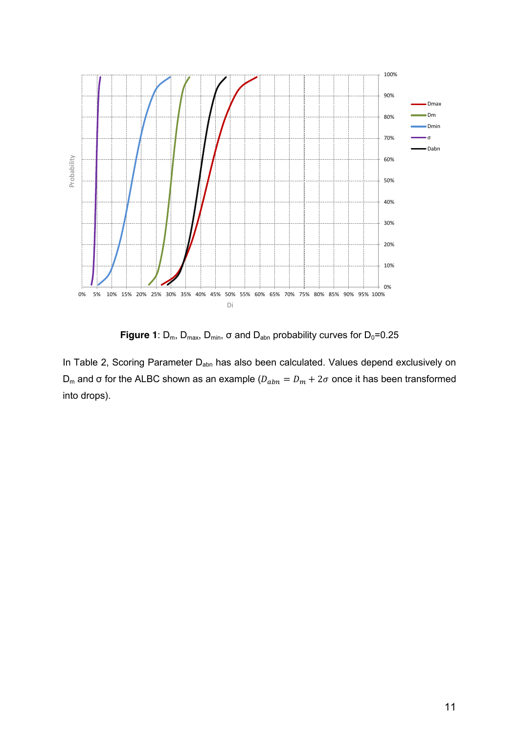

**Figure 1**:  $D_m$ ,  $D_{max}$ ,  $D_{min}$ ,  $\sigma$  and  $D_{abn}$  probability curves for  $D_0 = 0.25$ 

In Table 2, Scoring Parameter  $D_{abn}$  has also been calculated. Values depend exclusively on D<sub>m</sub> and σ for the ALBC shown as an example ( $D_{abn} = D_m + 2\sigma$  once it has been transformed into drops).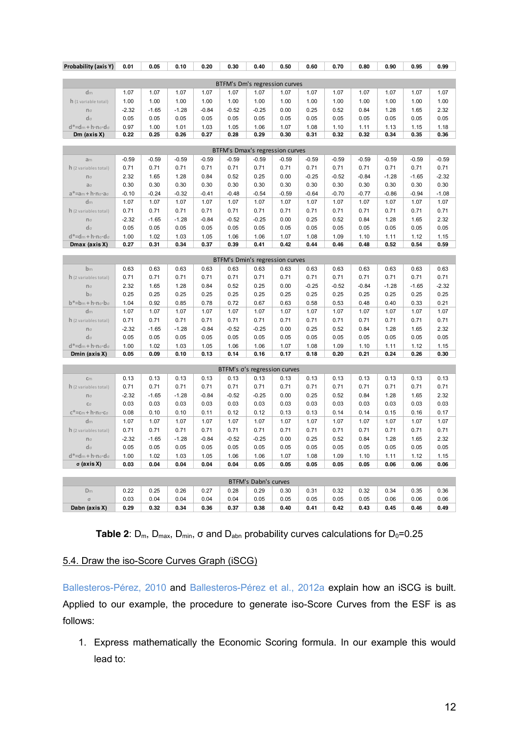| Probability (axis Y)                                    | 0.01                            | 0.05            | 0.10            | 0.20         | 0.30            | 0.40                            | 0.50         | 0.60         | 0.70         | 0.80         | 0.90         | 0.95         | 0.99         |  |  |
|---------------------------------------------------------|---------------------------------|-----------------|-----------------|--------------|-----------------|---------------------------------|--------------|--------------|--------------|--------------|--------------|--------------|--------------|--|--|
| BTFM's Dm's regression curves                           |                                 |                 |                 |              |                 |                                 |              |              |              |              |              |              |              |  |  |
| dm                                                      | 1.07                            | 1.07            | 1.07            | 1.07         | 1.07            | 1.07                            | 1.07         | 1.07         | 1.07         | 1.07         | 1.07         | 1.07         | 1.07         |  |  |
| $h$ (1 variable total)                                  | 1.00                            | 1.00            | 1.00            | 1.00         | 1.00            | 1.00                            | 1.00         | 1.00         | 1.00         | 1.00         | 1.00         | 1.00         | 1.00         |  |  |
| n <sub>σ</sub>                                          | $-2.32$                         | $-1.65$         | $-1.28$         | $-0.84$      | $-0.52$         | $-0.25$                         | 0.00         | 0.25         | 0.52         | 0.84         | 1.28         | 1.65         | 2.32         |  |  |
| $d_{\sigma}$                                            | 0.05                            | 0.05            | 0.05            | 0.05         | 0.05            | 0.05                            | 0.05         | 0.05         | 0.05         | 0.05         | 0.05         | 0.05         | 0.05         |  |  |
| $d^*=d_m+h\cdot n_{\sigma}\cdot d_{\sigma}$             | 0.97                            | 1.00            | 1.01            | 1.03         | 1.05            | 1.06                            | 1.07         | 1.08         | 1.10         | 1.11         | 1.13         | 1.15         | 1.18         |  |  |
| Dm $(axis X)$                                           | 0.22                            | 0.25            | 0.26            | 0.27         | 0.28            | 0.29                            | 0.30         | 0.31         | 0.32         | 0.32         | 0.34         | 0.35         | 0.36         |  |  |
|                                                         | BTFM's Dmax's regression curves |                 |                 |              |                 |                                 |              |              |              |              |              |              |              |  |  |
| am                                                      | $-0.59$                         | $-0.59$         | $-0.59$         | $-0.59$      | $-0.59$         | $-0.59$                         | $-0.59$      | $-0.59$      | $-0.59$      | $-0.59$      | $-0.59$      | $-0.59$      | $-0.59$      |  |  |
| $h$ (2 variables total)                                 | 0.71                            | 0.71            | 0.71            | 0.71         | 0.71            | 0.71                            | 0.71         | 0.71         | 0.71         | 0.71         | 0.71         | 0.71         | 0.71         |  |  |
| n <sub>o</sub>                                          | 2.32                            | 1.65            | 1.28            | 0.84         | 0.52            | 0.25                            | 0.00         | $-0.25$      | $-0.52$      | $-0.84$      | $-1.28$      | $-1.65$      | $-2.32$      |  |  |
| a <sub>o</sub>                                          | 0.30                            | 0.30            | 0.30            | 0.30         | 0.30            | 0.30                            | 0.30         | 0.30         | 0.30         | 0.30         | 0.30         | 0.30         | 0.30         |  |  |
| $a^*$ =am + h·no·ao                                     | $-0.10$                         | $-0.24$         | $-0.32$         | $-0.41$      | $-0.48$         | $-0.54$                         | $-0.59$      | $-0.64$      | $-0.70$      | $-0.77$      | $-0.86$      | $-0.94$      | $-1.08$      |  |  |
| dm                                                      | 1.07                            | 1.07            | 1.07            | 1.07         | 1.07            | 1.07                            | 1.07         | 1.07         | 1.07         | 1.07         | 1.07         | 1.07         | 1.07         |  |  |
| $h$ (2 variables total)                                 | 0.71                            | 0.71            | 0.71            | 0.71         | 0.71            | 0.71                            | 0.71         | 0.71         | 0.71         | 0.71         | 0.71         | 0.71         | 0.71         |  |  |
| n <sub>o</sub>                                          | $-2.32$                         | $-1.65$         | $-1.28$         | $-0.84$      | $-0.52$         | $-0.25$                         | 0.00         | 0.25         | 0.52         | 0.84         | 1.28         | 1.65         | 2.32         |  |  |
| $d\sigma$                                               | 0.05                            | 0.05            | 0.05            | 0.05         | 0.05            | 0.05                            | 0.05         | 0.05         | 0.05         | 0.05         | 0.05         | 0.05         | 0.05         |  |  |
| $d^*=d_m+h\cdot n_{\sigma}\cdot d_{\sigma}$             | 1.00                            | 1.02            | 1.03            | 1.05         | 1.06            | 1.06                            | 1.07         | 1.08         | 1.09         | 1.10         | 1.11         | 1.12         | 1.15         |  |  |
| Dmax (axis X)                                           | 0.27                            | 0.31            | 0.34            | 0.37         | 0.39            | 0.41                            | 0.42         | 0.44         | 0.46         | 0.48         | 0.52         | 0.54         | 0.59         |  |  |
|                                                         |                                 |                 |                 |              |                 |                                 |              |              |              |              |              |              |              |  |  |
|                                                         |                                 |                 |                 |              |                 | BTFM's Dmin's regression curves |              |              |              |              |              |              |              |  |  |
| bm                                                      | 0.63                            | 0.63            | 0.63            | 0.63         | 0.63            | 0.63                            | 0.63         | 0.63         | 0.63         | 0.63         | 0.63         | 0.63         | 0.63         |  |  |
| h (2 variables total)                                   | 0.71                            | 0.71            | 0.71            | 0.71         | 0.71            | 0.71                            | 0.71         | 0.71         | 0.71         | 0.71         | 0.71         | 0.71         | 0.71         |  |  |
| n <sub>σ</sub>                                          | 2.32                            | 1.65            | 1.28            | 0.84         | 0.52            | 0.25                            | 0.00         | $-0.25$      | $-0.52$      | $-0.84$      | $-1.28$      | $-1.65$      | $-2.32$      |  |  |
| $b^{\sigma}$                                            | 0.25                            | 0.25            | 0.25            | 0.25         | 0.25            | 0.25                            | 0.25         | 0.25         | 0.25         | 0.25         | 0.25         | 0.25         | 0.25         |  |  |
| $b^*$ = $b$ m + $h \cdot n \sigma \cdot b \sigma$<br>dm | 1.04<br>1.07                    | 0.92<br>1.07    | 0.85            | 0.78<br>1.07 | 0.72            | 0.67<br>1.07                    | 0.63         | 0.58<br>1.07 | 0.53         | 0.48<br>1.07 | 0.40         | 0.33<br>1.07 | 0.21<br>1.07 |  |  |
|                                                         |                                 |                 | 1.07            | 0.71         | 1.07            | 0.71                            | 1.07         | 0.71         | 1.07         | 0.71         | 1.07         | 0.71         | 0.71         |  |  |
| $h$ (2 variables total)                                 | 0.71<br>$-2.32$                 | 0.71<br>$-1.65$ | 0.71<br>$-1.28$ | $-0.84$      | 0.71<br>$-0.52$ | $-0.25$                         | 0.71<br>0.00 | 0.25         | 0.71<br>0.52 | 0.84         | 0.71<br>1.28 | 1.65         | 2.32         |  |  |
| n <sub>0</sub><br>$d\sigma$                             | 0.05                            | 0.05            | 0.05            | 0.05         | 0.05            | 0.05                            | 0.05         | 0.05         | 0.05         | 0.05         | 0.05         | 0.05         | 0.05         |  |  |
| $d^*=d_m + h \cdot n_{\sigma} \cdot d_{\sigma}$         | 1.00                            | 1.02            | 1.03            | 1.05         | 1.06            | 1.06                            | 1.07         | 1.08         | 1.09         | 1.10         | 1.11         | 1.12         | 1.15         |  |  |
| Dmin (axis X)                                           | 0.05                            | 0.09            | 0.10            | 0.13         | 0.14            | 0.16                            | 0.17         | 0.18         | 0.20         | 0.21         | 0.24         | 0.26         | 0.30         |  |  |
|                                                         |                                 |                 |                 |              |                 |                                 |              |              |              |              |              |              |              |  |  |
| BTFM's o's regression curves                            |                                 |                 |                 |              |                 |                                 |              |              |              |              |              |              |              |  |  |
| $\mathbb{C}$ m                                          | 0.13                            | 0.13            | 0.13            | 0.13         | 0.13            | 0.13                            | 0.13         | 0.13         | 0.13         | 0.13         | 0.13         | 0.13         | 0.13         |  |  |
| h (2 variables total)                                   | 0.71                            | 0.71            | 0.71            | 0.71         | 0.71            | 0.71                            | 0.71         | 0.71         | 0.71         | 0.71         | 0.71         | 0.71         | 0.71         |  |  |
| n <sub>0</sub>                                          | $-2.32$                         | $-1.65$         | $-1.28$         | $-0.84$      | $-0.52$         | $-0.25$                         | 0.00         | 0.25         | 0.52         | 0.84         | 1.28         | 1.65         | 2.32         |  |  |
| $C\sigma$                                               | 0.03                            | 0.03            | 0.03            | 0.03         | 0.03            | 0.03                            | 0.03         | 0.03         | 0.03         | 0.03         | 0.03         | 0.03         | 0.03         |  |  |
| $c^*$ =cm + h·no·co                                     | 0.08                            | 0.10            | 0.10            | 0.11         | 0.12            | 0.12                            | 0.13         | 0.13         | 0.14         | 0.14         | 0.15         | 0.16         | 0.17         |  |  |
| dm                                                      | 1.07                            | 1.07            | 1.07            | 1.07         | 1.07            | 1.07                            | 1.07         | 1.07         | 1.07         | 1.07         | 1.07         | 1.07         | 1.07         |  |  |
| h (2 variables total)                                   | 0.71                            | 0.71            | 0.71            | 0.71         | 0.71            | 0.71                            | 0.71         | 0.71         | 0.71         | 0.71         | 0.71         | 0.71         | 0.71         |  |  |
| n <sub>σ</sub>                                          | $-2.32$                         | $-1.65$         | $-1.28$         | $-0.84$      | $-0.52$         | $-0.25$                         | 0.00         | 0.25         | 0.52         | 0.84         | 1.28         | 1.65         | 2.32         |  |  |
| $d\sigma$                                               | 0.05                            | 0.05            | 0.05            | 0.05         | 0.05            | 0.05                            | 0.05         | 0.05         | 0.05         | 0.05         | 0.05         | 0.05         | 0.05         |  |  |
| $d^*=d_m+h\cdot n_{\sigma^*}d_{\sigma}$                 | 1.00                            | 1.02            | 1.03            | 1.05         | 1.06            | 1.06                            | 1.07         | 1.08         | 1.09         | 1.10         | 1.11         | 1.12         | 1.15         |  |  |
| $\sigma$ (axis X)                                       | 0.03                            | 0.04            | 0.04            | 0.04         | 0.04            | 0.05                            | 0.05         | 0.05         | 0.05         | 0.05         | 0.06         | 0.06         | 0.06         |  |  |
|                                                         |                                 |                 |                 |              |                 | BTFM's Dabn's curves            |              |              |              |              |              |              |              |  |  |
| D <sub>m</sub>                                          | 0.22                            | 0.25            | 0.26            | 0.27         | 0.28            | 0.29                            | 0.30         | 0.31         | 0.32         | 0.32         | 0.34         | 0.35         | 0.36         |  |  |
| $\sigma$                                                | 0.03                            | 0.04            | 0.04            | 0.04         | 0.04            | 0.05                            | 0.05         | 0.05         | 0.05         | 0.05         | 0.06         | 0.06         | 0.06         |  |  |
| Dabn (axis X)                                           | 0.29                            | 0.32            | 0.34            | 0.36         | 0.37            | 0.38                            | 0.40         | 0.41         | 0.42         | 0.43         | 0.45         | 0.46         | 0.49         |  |  |

**Table 2**:  $D_m$ ,  $D_{max}$ ,  $D_{min}$ ,  $\sigma$  and  $D_{abn}$  probability curves calculations for  $D_0$ =0.25

# 5.4. Draw the iso-Score Curves Graph (iSCG)

Ballesteros-Pérez, 2010 and Ballesteros-Pérez et al., 2012a explain how an iSCG is built. Applied to our example, the procedure to generate iso-Score Curves from the ESF is as follows:

1. Express mathematically the Economic Scoring formula. In our example this would lead to: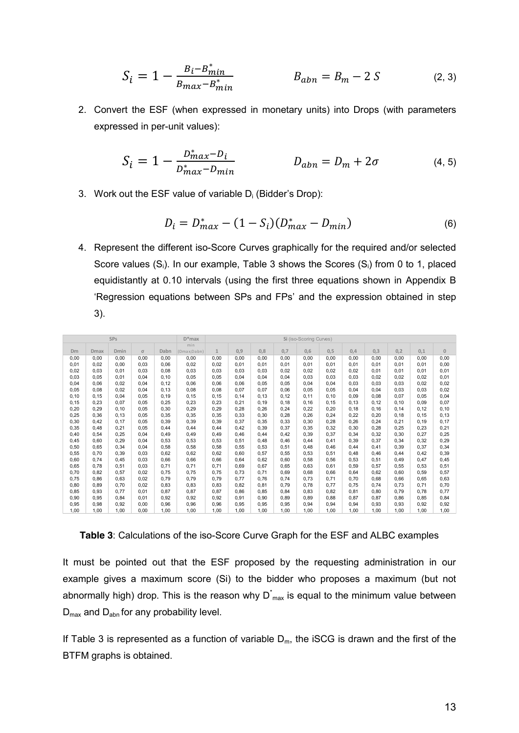$$
S_i = 1 - \frac{B_i - B_{min}^*}{B_{max} - B_{min}^*}
$$
  $B_{abn} = B_m - 2S$  (2, 3)

2. Convert the ESF (when expressed in monetary units) into Drops (with parameters expressed in per-unit values):

$$
S_i = 1 - \frac{D_{max}^* - D_i}{D_{max}^* - D_{min}} \qquad D_{abn} = D_m + 2\sigma \qquad (4, 5)
$$

3. Work out the ESF value of variable  $D_i$  (Bidder's Drop):

$$
D_i = D_{max}^* - (1 - S_i)(D_{max}^* - D_{min})
$$
 (6)

4. Represent the different iso-Score Curves graphically for the required and/or selected Score values  $(S_i)$ . In our example, Table 3 shows the Scores  $(S_i)$  from 0 to 1, placed equidistantly at 0.10 intervals (using the first three equations shown in Appendix B 'Regression equations between SPs and FPs' and the expression obtained in step 3).

| SPs       |             |      |          | $D*$ max |             |              |      |      | Si (iso-Scoring Curves) |      |      |      |      |      |       |              |
|-----------|-------------|------|----------|----------|-------------|--------------|------|------|-------------------------|------|------|------|------|------|-------|--------------|
|           |             |      |          |          | min         |              |      |      |                         |      |      |      |      |      |       |              |
| <b>Dm</b> | <b>Dmax</b> | Dmin | $\sigma$ | Dabn     | (Dmax:Dabn) | $\mathbf{1}$ | 0,9  | 0,8  | 0,7                     | 0,6  | 0,5  | 0.4  | 0,3  | 0,2  | 0,1   | $\mathbf{0}$ |
| 0,00      | 0,00        | 0,00 | 0.00     | 0,00     | 0,00        | 0.00         | 0,00 | 0.00 | 0,00                    | 0.00 | 0.00 | 0,00 | 0,00 | 0,00 | 0,00  | 0,00         |
| 0,01      | 0.02        | 0.00 | 0.03     | 0.06     | 0.02        | 0.02         | 0.01 | 0.01 | 0.01                    | 0.01 | 0.01 | 0.01 | 0.01 | 0.01 | 0.01  | 0,00         |
| 0,02      | 0,03        | 0.01 | 0.03     | 0.08     | 0,03        | 0.03         | 0.03 | 0.03 | 0,02                    | 0.02 | 0.02 | 0.02 | 0.01 | 0.01 | 0,01  | 0,01         |
| 0,03      | 0,05        | 0.01 | 0.04     | 0.10     | 0,05        | 0.05         | 0,04 | 0.04 | 0,04                    | 0.03 | 0.03 | 0,03 | 0.02 | 0,02 | 0,02  | 0,01         |
| 0,04      | 0.06        | 0.02 | 0.04     | 0.12     | 0,06        | 0.06         | 0.06 | 0.05 | 0,05                    | 0.04 | 0.04 | 0.03 | 0.03 | 0.03 | 0,02  | 0,02         |
| 0,05      | 0,08        | 0.02 | 0.04     | 0, 13    | 0,08        | 0.08         | 0,07 | 0.07 | 0,06                    | 0,05 | 0.05 | 0,04 | 0,04 | 0,03 | 0,03  | 0,02         |
| 0, 10     | 0.15        | 0.04 | 0.05     | 0.19     | 0.15        | 0.15         | 0.14 | 0.13 | 0.12                    | 0,11 | 0.10 | 0.09 | 0.08 | 0.07 | 0.05  | 0,04         |
| 0, 15     | 0.23        | 0.07 | 0.05     | 0.25     | 0.23        | 0.23         | 0.21 | 0.19 | 0, 18                   | 0.16 | 0.15 | 0.13 | 0.12 | 0.10 | 0,09  | 0,07         |
| 0,20      | 0.29        | 0.10 | 0.05     | 0,30     | 0,29        | 0.29         | 0,28 | 0,26 | 0,24                    | 0,22 | 0.20 | 0.18 | 0.16 | 0.14 | 0, 12 | 0, 10        |
| 0,25      | 0,36        | 0.13 | 0.05     | 0,35     | 0,35        | 0,35         | 0.33 | 0,30 | 0,28                    | 0.26 | 0.24 | 0,22 | 0,20 | 0.18 | 0, 15 | 0, 13        |
| 0,30      | 0,42        | 0.17 | 0.05     | 0,39     | 0,39        | 0.39         | 0.37 | 0.35 | 0,33                    | 0,30 | 0.28 | 0,26 | 0.24 | 0,21 | 0, 19 | 0,17         |
| 0,35      | 0.48        | 0.21 | 0.05     | 0.44     | 0.44        | 0.44         | 0.42 | 0.39 | 0.37                    | 0.35 | 0.32 | 0.30 | 0.28 | 0.25 | 0.23  | 0,21         |
| 0,40      | 0,54        | 0,25 | 0.04     | 0,49     | 0,49        | 0,49         | 0,46 | 0,44 | 0,42                    | 0,39 | 0.37 | 0,34 | 0,32 | 0,30 | 0,27  | 0,25         |
| 0,45      | 0,60        | 0,29 | 0.04     | 0,53     | 0,53        | 0.53         | 0,51 | 0.48 | 0,46                    | 0.44 | 0.41 | 0,39 | 0.37 | 0,34 | 0,32  | 0,29         |
| 0,50      | 0.65        | 0.34 | 0.04     | 0.58     | 0,58        | 0.58         | 0.55 | 0.53 | 0,51                    | 0.48 | 0.46 | 0,44 | 0.41 | 0,39 | 0,37  | 0,34         |
| 0,55      | 0.70        | 0.39 | 0.03     | 0.62     | 0,62        | 0.62         | 0.60 | 0.57 | 0,55                    | 0.53 | 0.51 | 0.48 | 0.46 | 0.44 | 0,42  | 0,39         |
| 0,60      | 0.74        | 0.45 | 0.03     | 0.66     | 0.66        | 0.66         | 0.64 | 0.62 | 0.60                    | 0.58 | 0.56 | 0.53 | 0.51 | 0.49 | 0.47  | 0,45         |
| 0,65      | 0,78        | 0,51 | 0.03     | 0,71     | 0,71        | 0,71         | 0,69 | 0.67 | 0,65                    | 0.63 | 0.61 | 0,59 | 0,57 | 0,55 | 0,53  | 0,51         |
| 0.70      | 0.82        | 0.57 | 0.02     | 0.75     | 0.75        | 0.75         | 0.73 | 0.71 | 0,69                    | 0.68 | 0.66 | 0,64 | 0.62 | 0.60 | 0,59  | 0,57         |
| 0,75      | 0.86        | 0.63 | 0.02     | 0.79     | 0.79        | 0.79         | 0.77 | 0.76 | 0.74                    | 0.73 | 0.71 | 0.70 | 0.68 | 0.66 | 0.65  | 0.63         |
| 0,80      | 0.89        | 0.70 | 0.02     | 0.83     | 0,83        | 0.83         | 0.82 | 0.81 | 0.79                    | 0.78 | 0.77 | 0.75 | 0.74 | 0.73 | 0.71  | 0.70         |
| 0,85      | 0,93        | 0.77 | 0.01     | 0,87     | 0.87        | 0.87         | 0.86 | 0.85 | 0,84                    | 0.83 | 0.82 | 0,81 | 0.80 | 0.79 | 0.78  | 0,77         |
| 0,90      | 0,95        | 0,84 | 0.01     | 0,92     | 0,92        | 0,92         | 0,91 | 0,90 | 0,89                    | 0,89 | 0,88 | 0,87 | 0.87 | 0,86 | 0,85  | 0,84         |
| 0,95      | 0,98        | 0.92 | 0.00     | 0,96     | 0,96        | 0.96         | 0,95 | 0.95 | 0,95                    | 0.94 | 0,94 | 0,94 | 0.93 | 0,93 | 0,92  | 0,92         |
| 1.00      | 1.00        | 1.00 | 0.00     | 1.00     | 1.00        | 1.00         | 1.00 | 1.00 | 1.00                    | 1.00 | 1.00 | 1.00 | 1.00 | 1.00 | 1.00  | 1.00         |

**Table 3**: Calculations of the iso-Score Curve Graph for the ESF and ALBC examples

It must be pointed out that the ESF proposed by the requesting administration in our example gives a maximum score (Si) to the bidder who proposes a maximum (but not abnormally high) drop. This is the reason why  $D_{\text{max}}^*$  is equal to the minimum value between  $D_{\text{max}}$  and  $D_{\text{abn}}$  for any probability level.

If Table 3 is represented as a function of variable  $D_m$ , the iSCG is drawn and the first of the BTFM graphs is obtained.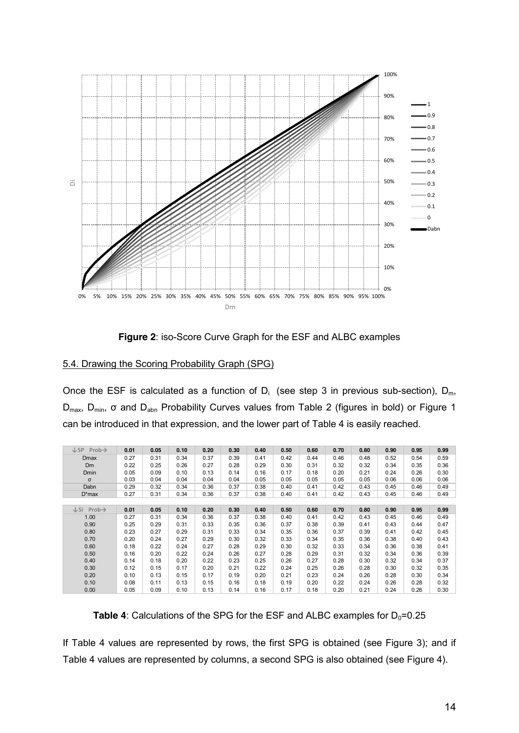

**Figure 2**: iso-Score Curve Graph for the ESF and ALBC examples

### 5.4. Drawing the Scoring Probability Graph (SPG)

Once the ESF is calculated as a function of  $D_i$  (see step 3 in previous sub-section),  $D_m$ , D<sub>max</sub>, D<sub>min</sub>, σ and D<sub>abn</sub> Probability Curves values from Table 2 (figures in bold) or Figure 1 can be introduced in that expression, and the lower part of Table 4 is easily reached.

| $\bigcup$ SP<br>$Prob \rightarrow$    | 0.01 | 0.05 | 0.10 | 0.20 | 0.30 | 0.40 | 0.50 | 0.60 | 0.70 | 0.80 | 0.90 | 0.95 | 0.99 |
|---------------------------------------|------|------|------|------|------|------|------|------|------|------|------|------|------|
| Dmax                                  | 0.27 | 0.31 | 0.34 | 0.37 | 0.39 | 0.41 | 0.42 | 0.44 | 0.46 | 0.48 | 0.52 | 0.54 | 0.59 |
| D <sub>m</sub>                        | 0.22 | 0.25 | 0.26 | 0.27 | 0.28 | 0.29 | 0.30 | 0.31 | 0.32 | 0.32 | 0.34 | 0.35 | 0.36 |
| <b>Dmin</b>                           | 0.05 | 0.09 | 0.10 | 0.13 | 0.14 | 0.16 | 0.17 | 0.18 | 0.20 | 0.21 | 0.24 | 0.26 | 0.30 |
| $\sigma$                              | 0.03 | 0.04 | 0.04 | 0.04 | 0.04 | 0.05 | 0.05 | 0.05 | 0.05 | 0.05 | 0.06 | 0.06 | 0.06 |
| Dabn                                  | 0.29 | 0.32 | 0.34 | 0.36 | 0.37 | 0.38 | 0.40 | 0.41 | 0.42 | 0.43 | 0.45 | 0.46 | 0.49 |
| $D^*$ max                             | 0.27 | 0.31 | 0.34 | 0.36 | 0.37 | 0.38 | 0.40 | 0.41 | 0.42 | 0.43 | 0.45 | 0.46 | 0.49 |
|                                       |      |      |      |      |      |      |      |      |      |      |      |      |      |
| $Prob \rightarrow$<br>$\downarrow$ Si | 0.01 | 0.05 | 0.10 | 0.20 | 0.30 | 0.40 | 0.50 | 0.60 | 0.70 | 0.80 | 0.90 | 0.95 | 0.99 |
| 1.00                                  | 0.27 | 0.31 | 0.34 | 0.36 | 0.37 | 0.38 | 0.40 | 0.41 | 0.42 | 0.43 | 0.45 | 0.46 | 0.49 |
| 0.90                                  | 0.25 | 0.29 | 0.31 | 0.33 | 0.35 | 0.36 | 0.37 | 0.38 | 0.39 | 0.41 | 0.43 | 0.44 | 0.47 |
| 0.80                                  | 0.23 | 0.27 | 0.29 | 0.31 | 0.33 | 0.34 | 0.35 | 0.36 | 0.37 | 0.39 | 0.41 | 0.42 | 0.45 |
| 0.70                                  | 0.20 | 0.24 | 0.27 | 0.29 | 0.30 | 0.32 | 0.33 | 0.34 | 0.35 | 0.36 | 0.38 | 0.40 | 0.43 |
| 0.60                                  | 0.18 | 0.22 | 0.24 | 0.27 | 0.28 | 0.29 | 0.30 | 0.32 | 0.33 | 0.34 | 0.36 | 0.38 | 0.41 |
| 0.50                                  | 0.16 | 0.20 | 0.22 | 0.24 | 0.26 | 0.27 | 0.28 | 0.29 | 0.31 | 0.32 | 0.34 | 0.36 | 0.39 |
| 0.40                                  | 0.14 | 0.18 | 0.20 | 0.22 | 0.23 | 0.25 | 0.26 | 0.27 | 0.28 | 0.30 | 0.32 | 0.34 | 0.37 |
| 0.30                                  | 0.12 | 0.15 | 0.17 | 0.20 | 0.21 | 0.22 | 0.24 | 0.25 | 0.26 | 0.28 | 0.30 | 0.32 | 0.35 |
| 0.20                                  | 0.10 | 0.13 | 0.15 | 0.17 | 0.19 | 0.20 | 0.21 | 0.23 | 0.24 | 0.26 | 0.28 | 0.30 | 0.34 |
| 0.10                                  | 0.08 | 0.11 | 0.13 | 0.15 | 0.16 | 0.18 | 0.19 | 0.20 | 0.22 | 0.24 | 0.26 | 0.28 | 0.32 |
| 0.00                                  | 0.05 | 0.09 | 0.10 | 0.13 | 0.14 | 0.16 | 0.17 | 0.18 | 0.20 | 0.21 | 0.24 | 0.26 | 0.30 |

**Table 4**: Calculations of the SPG for the ESF and ALBC examples for  $D_0=0.25$ 

If Table 4 values are represented by rows, the first SPG is obtained (see Figure 3); and if Table 4 values are represented by columns, a second SPG is also obtained (see Figure 4).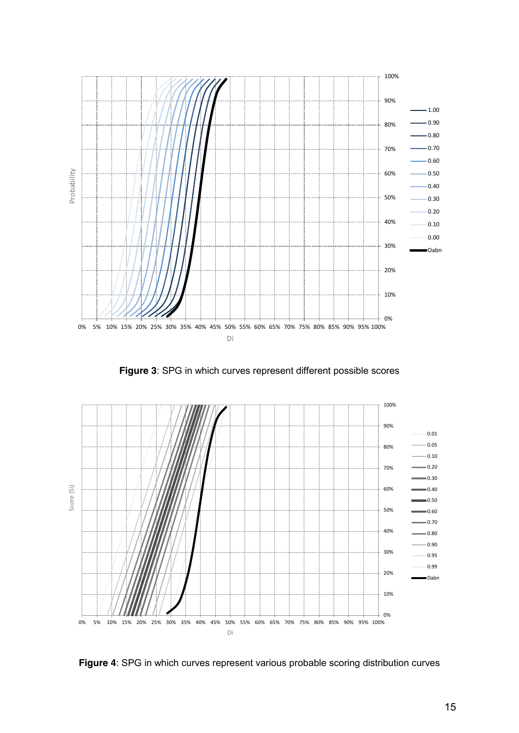

**Figure 3**: SPG in which curves represent different possible scores



**Figure 4**: SPG in which curves represent various probable scoring distribution curves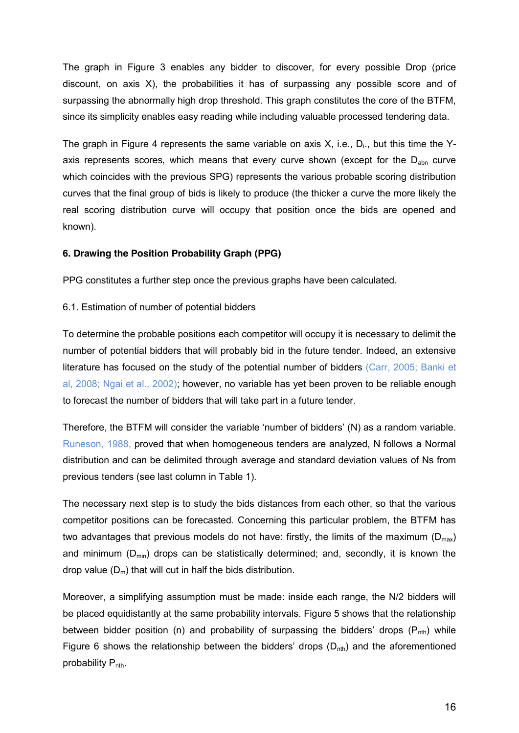The graph in Figure 3 enables any bidder to discover, for every possible Drop (price discount, on axis X), the probabilities it has of surpassing any possible score and of surpassing the abnormally high drop threshold. This graph constitutes the core of the BTFM, since its simplicity enables easy reading while including valuable processed tendering data.

The graph in Figure 4 represents the same variable on axis  $X$ , i.e.,  $D_i$ , but this time the Yaxis represents scores, which means that every curve shown (except for the  $D_{\text{abs}}$  curve which coincides with the previous SPG) represents the various probable scoring distribution curves that the final group of bids is likely to produce (the thicker a curve the more likely the real scoring distribution curve will occupy that position once the bids are opened and known).

### **6. Drawing the Position Probability Graph (PPG)**

PPG constitutes a further step once the previous graphs have been calculated.

### 6.1. Estimation of number of potential bidders

To determine the probable positions each competitor will occupy it is necessary to delimit the number of potential bidders that will probably bid in the future tender. Indeed, an extensive literature has focused on the study of the potential number of bidders (Carr, 2005; Banki et al, 2008; Ngai et al., 2002); however, no variable has yet been proven to be reliable enough to forecast the number of bidders that will take part in a future tender.

Therefore, the BTFM will consider the variable 'number of bidders' (N) as a random variable. Runeson, 1988, proved that when homogeneous tenders are analyzed, N follows a Normal distribution and can be delimited through average and standard deviation values of Ns from previous tenders (see last column in Table 1).

The necessary next step is to study the bids distances from each other, so that the various competitor positions can be forecasted. Concerning this particular problem, the BTFM has two advantages that previous models do not have: firstly, the limits of the maximum ( $D_{max}$ ) and minimum ( $D_{min}$ ) drops can be statistically determined; and, secondly, it is known the drop value  $(D_m)$  that will cut in half the bids distribution.

Moreover, a simplifying assumption must be made: inside each range, the N/2 bidders will be placed equidistantly at the same probability intervals. Figure 5 shows that the relationship between bidder position (n) and probability of surpassing the bidders' drops  $(P_{nth})$  while Figure 6 shows the relationship between the bidders' drops  $(D_{nth})$  and the aforementioned probability  $P_{nth}$ .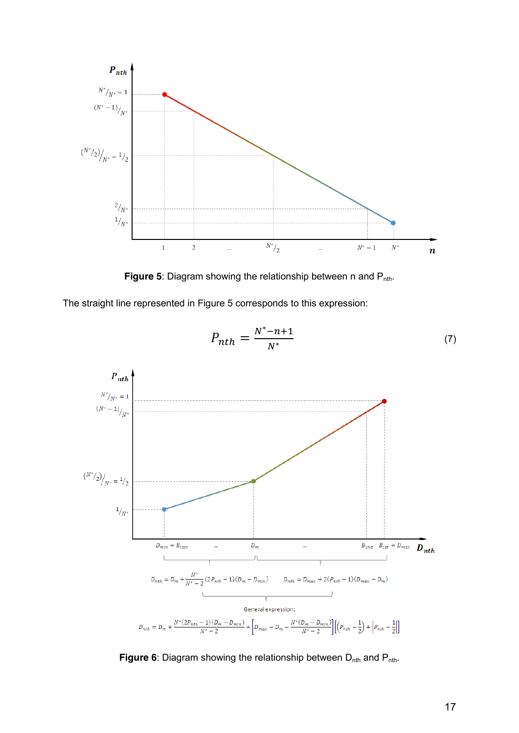

**Figure 5:** Diagram showing the relationship between n and P<sub>nth</sub>.

The straight line represented in Figure 5 corresponds to this expression:



$$
P_{nth} = \frac{N^*-n+1}{N^*} \tag{7}
$$

**Figure 6**: Diagram showing the relationship between D<sub>nth</sub> and P<sub>nth</sub>.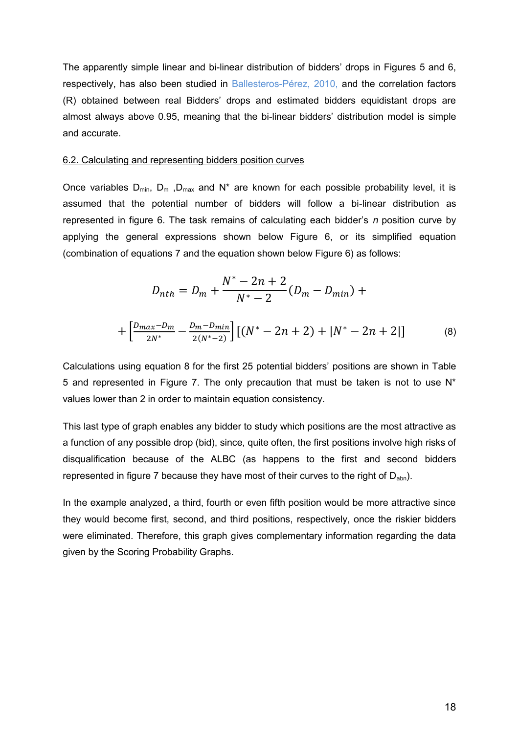The apparently simple linear and bi-linear distribution of bidders' drops in Figures 5 and 6, respectively, has also been studied in Ballesteros-Pérez, 2010, and the correlation factors (R) obtained between real Bidders' drops and estimated bidders equidistant drops are almost always above 0.95, meaning that the bi-linear bidders' distribution model is simple and accurate.

#### 6.2. Calculating and representing bidders position curves

Once variables  $D_{min}$ ,  $D_{max}$  and  $N^*$  are known for each possible probability level, it is assumed that the potential number of bidders will follow a bi-linear distribution as represented in figure 6. The task remains of calculating each bidder's *n* position curve by applying the general expressions shown below Figure 6, or its simplified equation (combination of equations 7 and the equation shown below Figure 6) as follows:

$$
D_{nth} = D_m + \frac{N^* - 2n + 2}{N^* - 2} (D_m - D_{min}) +
$$
  
+ 
$$
\left[ \frac{D_{max} - D_m}{2N^*} - \frac{D_m - D_{min}}{2(N^* - 2)} \right] \left[ (N^* - 2n + 2) + |N^* - 2n + 2| \right]
$$
 (8)

Calculations using equation 8 for the first 25 potential bidders' positions are shown in Table 5 and represented in Figure 7. The only precaution that must be taken is not to use  $N^*$ values lower than 2 in order to maintain equation consistency.

This last type of graph enables any bidder to study which positions are the most attractive as a function of any possible drop (bid), since, quite often, the first positions involve high risks of disqualification because of the ALBC (as happens to the first and second bidders represented in figure 7 because they have most of their curves to the right of  $D_{abn}$ ).

In the example analyzed, a third, fourth or even fifth position would be more attractive since they would become first, second, and third positions, respectively, once the riskier bidders were eliminated. Therefore, this graph gives complementary information regarding the data given by the Scoring Probability Graphs.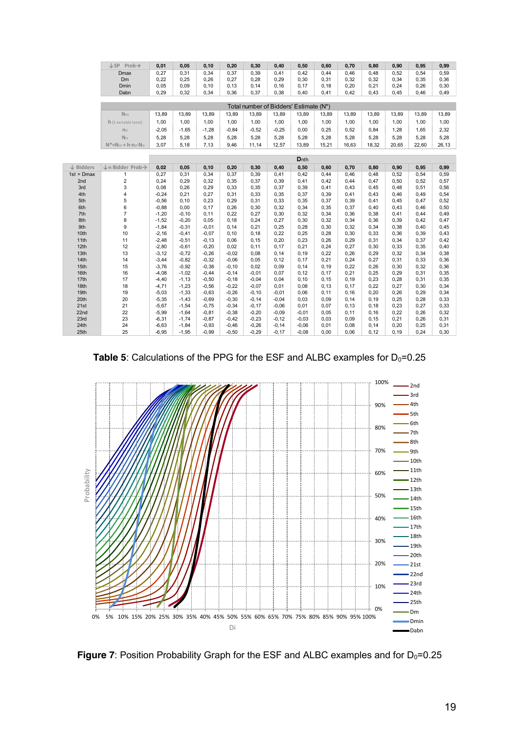|                      | $\downarrow$ SP Prob $\rightarrow$ | 0,01     | 0,05     | 0, 10    | 0,20     | 0,30     | 0,40     | 0,50                                   | 0,60  | 0,70  | 0,80  | 0,90  | 0,95  | 0,99  |  |  |
|----------------------|------------------------------------|----------|----------|----------|----------|----------|----------|----------------------------------------|-------|-------|-------|-------|-------|-------|--|--|
|                      | <b>Dmax</b>                        | 0,27     | 0,31     | 0,34     | 0,37     | 0,39     | 0,41     | 0,42                                   | 0,44  | 0,46  | 0,48  | 0,52  | 0,54  | 0,59  |  |  |
|                      | <b>Dm</b>                          | 0,22     | 0,25     | 0,26     | 0,27     | 0,28     | 0,29     | 0,30                                   | 0,31  | 0,32  | 0,32  | 0,34  | 0,35  | 0,36  |  |  |
|                      | Dmin                               | 0,05     | 0,09     | 0, 10    | 0, 13    | 0, 14    | 0, 16    | 0,17                                   | 0, 18 | 0,20  | 0,21  | 0,24  | 0,26  | 0,30  |  |  |
|                      | Dabn                               | 0,29     | 0.32     | 0.34     | 0,36     | 0,37     | 0.38     | 0,40                                   | 0,41  | 0,42  | 0.43  | 0,45  | 0,46  | 0,49  |  |  |
|                      |                                    |          |          |          |          |          |          |                                        |       |       |       |       |       |       |  |  |
|                      |                                    |          |          |          |          |          |          | Total number of Bidders' Estimate (N*) |       |       |       |       |       |       |  |  |
|                      | N <sub>m</sub>                     | 13,89    | 13,89    | 13,89    | 13,89    | 13,89    | 13,89    | 13,89                                  | 13,89 | 13,89 | 13,89 | 13,89 | 13,89 | 13,89 |  |  |
|                      | $h$ (1 variable total)             | 1,00     | 1,00     | 1,00     | 1,00     | 1,00     | 1,00     | 1,00                                   | 1,00  | 1,00  | 1,00  | 1,00  | 1,00  | 1,00  |  |  |
|                      | n <sub>σ</sub>                     | $-2,05$  | $-1,65$  | $-1,28$  | $-0,84$  | $-0,52$  | $-0,25$  | 0,00                                   | 0,25  | 0,52  | 0,84  | 1,28  | 1,65  | 2,32  |  |  |
|                      | $\mathbb{N}\sigma$                 | 5,28     | 5,28     | 5,28     | 5,28     | 5,28     | 5,28     | 5,28                                   | 5,28  | 5,28  | 5,28  | 5,28  | 5,28  | 5,28  |  |  |
|                      | $N^*$ =Nm + h·no·No                | 3,07     | 5,18     | 7,13     | 9,46     | 11,14    | 12,57    | 13,89                                  | 15,21 | 16,63 | 18,32 | 20,65 | 22,60 | 26,13 |  |  |
|                      |                                    |          |          |          |          |          |          |                                        |       |       |       |       |       |       |  |  |
|                      |                                    |          |          |          |          |          |          | <b>D</b> nth                           |       |       |       |       |       |       |  |  |
| $\downarrow$ Bidders | ↓n Bidder Prob→                    | 0,02     | 0,05     | 0, 10    | 0,20     | 0,30     | 0,40     | 0,50                                   | 0,60  | 0,70  | 0,80  | 0,90  | 0,95  | 0,99  |  |  |
| $1st = Dmax$         | 1                                  | 0,27     | 0,31     | 0,34     | 0,37     | 0,39     | 0,41     | 0,42                                   | 0,44  | 0,46  | 0,48  | 0,52  | 0,54  | 0,59  |  |  |
| 2nd                  | $\mathbf 2$                        | 0,24     | 0,29     | 0,32     | 0,35     | 0,37     | 0,39     | 0,41                                   | 0,42  | 0,44  | 0,47  | 0,50  | 0,52  | 0,57  |  |  |
| 3rd                  | 3                                  | 0,08     | 0,26     | 0,29     | 0,33     | 0,35     | 0,37     | 0,39                                   | 0,41  | 0,43  | 0,45  | 0,48  | 0,51  | 0,56  |  |  |
| 4th                  | 4                                  | $-0,24$  | 0,21     | 0,27     | 0,31     | 0,33     | 0,35     | 0,37                                   | 0,39  | 0,41  | 0,43  | 0,46  | 0,49  | 0,54  |  |  |
| 5th                  | 5                                  | $-0,56$  | 0, 10    | 0,23     | 0,29     | 0,31     | 0,33     | 0,35                                   | 0,37  | 0,39  | 0,41  | 0,45  | 0,47  | 0,52  |  |  |
| 6th                  | 6                                  | $-0,88$  | 0,00     | 0,17     | 0,26     | 0,30     | 0,32     | 0,34                                   | 0,35  | 0,37  | 0,40  | 0,43  | 0,46  | 0,50  |  |  |
| 7th                  | $\overline{7}$                     | $-1,20$  | $-0, 10$ | 0, 11    | 0,22     | 0,27     | 0,30     | 0,32                                   | 0,34  | 0,36  | 0,38  | 0,41  | 0,44  | 0,49  |  |  |
| 8th                  | 8                                  | $-1,52$  | $-0,20$  | 0,05     | 0, 18    | 0,24     | 0,27     | 0,30                                   | 0,32  | 0,34  | 0,36  | 0,39  | 0,42  | 0,47  |  |  |
| 9th                  | 9                                  | $-1,84$  | $-0,31$  | $-0,01$  | 0, 14    | 0,21     | 0,25     | 0,28                                   | 0,30  | 0,32  | 0,34  | 0,38  | 0,40  | 0,45  |  |  |
| 10th                 | 10                                 | $-2,16$  | $-0,41$  | $-0,07$  | 0.10     | 0, 18    | 0,22     | 0,25                                   | 0,28  | 0,30  | 0,33  | 0,36  | 0,39  | 0,43  |  |  |
| 11th                 | 11                                 | $-2,48$  | $-0,51$  | $-0, 13$ | 0,06     | 0, 15    | 0,20     | 0,23                                   | 0,26  | 0,29  | 0,31  | 0,34  | 0,37  | 0,42  |  |  |
| 12th                 | 12                                 | $-2,80$  | $-0,61$  | $-0,20$  | 0,02     | 0, 11    | 0,17     | 0,21                                   | 0,24  | 0,27  | 0,30  | 0,33  | 0,35  | 0,40  |  |  |
| 13th                 | 13                                 | $-3, 12$ | $-0,72$  | $-0,26$  | $-0,02$  | 0,08     | 0, 14    | 0, 19                                  | 0,22  | 0,26  | 0,29  | 0,32  | 0,34  | 0,38  |  |  |
| 14th                 | 14                                 | $-3,44$  | $-0.82$  | $-0,32$  | $-0,06$  | 0,05     | 0, 12    | 0,17                                   | 0,21  | 0,24  | 0,27  | 0,31  | 0,33  | 0,36  |  |  |
| 15th                 | 15                                 | $-3,76$  | $-0.92$  | $-0,38$  | $-0, 10$ | 0,02     | 0,09     | 0, 14                                  | 0, 19 | 0,22  | 0,26  | 0,30  | 0,32  | 0,36  |  |  |
| 16th                 | 16                                 | $-4,08$  | $-1,02$  | $-0,44$  | $-0, 14$ | $-0,01$  | 0,07     | 0, 12                                  | 0,17  | 0,21  | 0,25  | 0,29  | 0,31  | 0,35  |  |  |
| 17th                 | 17                                 | $-4,40$  | $-1, 13$ | $-0,50$  | $-0, 18$ | $-0,04$  | 0,04     | 0, 10                                  | 0, 15 | 0, 19 | 0,23  | 0,28  | 0,31  | 0,35  |  |  |
| 18th                 | 18                                 | $-4,71$  | $-1,23$  | $-0,56$  | $-0,22$  | $-0,07$  | 0,01     | 0,08                                   | 0, 13 | 0,17  | 0,22  | 0,27  | 0,30  | 0,34  |  |  |
| 19th                 | 19                                 | $-5,03$  | $-1,33$  | $-0,63$  | $-0,26$  | $-0, 10$ | $-0,01$  | 0,06                                   | 0, 11 | 0, 16 | 0,20  | 0,26  | 0,29  | 0,34  |  |  |
| 20th                 | 20                                 | $-5,35$  | $-1,43$  | $-0.69$  | $-0,30$  | $-0, 14$ | $-0,04$  | 0,03                                   | 0,09  | 0, 14 | 0, 19 | 0,25  | 0,28  | 0,33  |  |  |
| 21st                 | 21                                 | $-5,67$  | $-1,54$  | $-0,75$  | $-0,34$  | $-0, 17$ | $-0,06$  | 0,01                                   | 0,07  | 0, 13 | 0, 18 | 0,23  | 0,27  | 0,33  |  |  |
| 22nd                 | 22                                 | $-5,99$  | $-1,64$  | $-0,81$  | $-0,38$  | $-0,20$  | $-0,09$  | $-0,01$                                | 0,05  | 0, 11 | 0, 16 | 0,22  | 0,26  | 0,32  |  |  |
| 23rd                 | 23                                 | $-6,31$  | $-1,74$  | $-0.87$  | $-0,42$  | $-0,23$  | $-0, 12$ | $-0,03$                                | 0,03  | 0,09  | 0, 15 | 0,21  | 0,26  | 0,31  |  |  |
| 24th                 | 24                                 | $-6,63$  | $-1,84$  | $-0,93$  | $-0,46$  | $-0,26$  | $-0, 14$ | $-0,06$                                | 0,01  | 0,08  | 0, 14 | 0,20  | 0,25  | 0,31  |  |  |
| 25th                 | 25                                 | $-6,95$  | $-1,95$  | $-0,99$  | $-0,50$  | $-0,29$  | $-0, 17$ | $-0.08$                                | 0,00  | 0,06  | 0, 12 | 0, 19 | 0,24  | 0,30  |  |  |

**Table 5**: Calculations of the PPG for the ESF and ALBC examples for  $D_0=0.25$ 



**Figure 7:** Position Probability Graph for the ESF and ALBC examples and for  $D_0=0.25$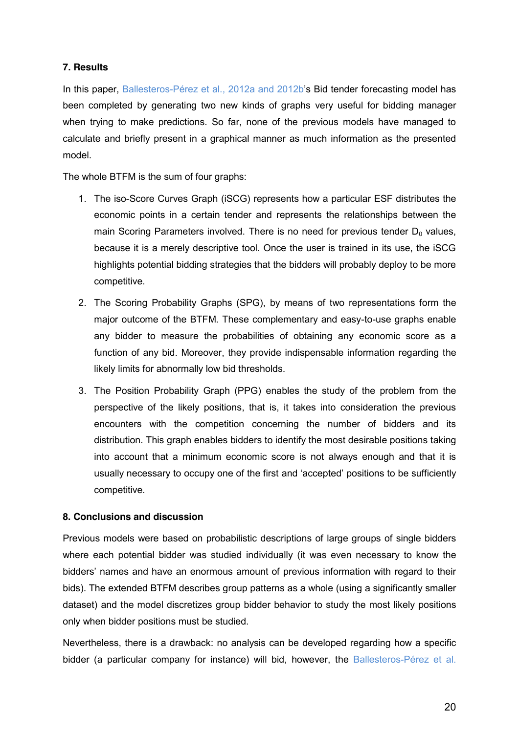# **7. Results**

In this paper, Ballesteros-Pérez et al., 2012a and 2012b's Bid tender forecasting model has been completed by generating two new kinds of graphs very useful for bidding manager when trying to make predictions. So far, none of the previous models have managed to calculate and briefly present in a graphical manner as much information as the presented model.

The whole BTFM is the sum of four graphs:

- 1. The iso-Score Curves Graph (iSCG) represents how a particular ESF distributes the economic points in a certain tender and represents the relationships between the main Scoring Parameters involved. There is no need for previous tender  $D_0$  values, because it is a merely descriptive tool. Once the user is trained in its use, the iSCG highlights potential bidding strategies that the bidders will probably deploy to be more competitive.
- 2. The Scoring Probability Graphs (SPG), by means of two representations form the major outcome of the BTFM. These complementary and easy-to-use graphs enable any bidder to measure the probabilities of obtaining any economic score as a function of any bid. Moreover, they provide indispensable information regarding the likely limits for abnormally low bid thresholds.
- 3. The Position Probability Graph (PPG) enables the study of the problem from the perspective of the likely positions, that is, it takes into consideration the previous encounters with the competition concerning the number of bidders and its distribution. This graph enables bidders to identify the most desirable positions taking into account that a minimum economic score is not always enough and that it is usually necessary to occupy one of the first and 'accepted' positions to be sufficiently competitive.

### **8. Conclusions and discussion**

Previous models were based on probabilistic descriptions of large groups of single bidders where each potential bidder was studied individually (it was even necessary to know the bidders' names and have an enormous amount of previous information with regard to their bids). The extended BTFM describes group patterns as a whole (using a significantly smaller dataset) and the model discretizes group bidder behavior to study the most likely positions only when bidder positions must be studied.

Nevertheless, there is a drawback: no analysis can be developed regarding how a specific bidder (a particular company for instance) will bid, however, the Ballesteros-Pérez et al.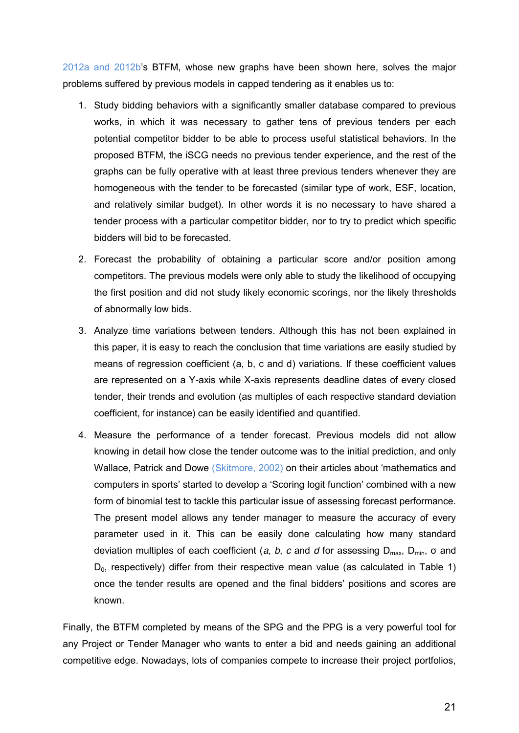2012a and 2012b's BTFM, whose new graphs have been shown here, solves the major problems suffered by previous models in capped tendering as it enables us to:

- 1. Study bidding behaviors with a significantly smaller database compared to previous works, in which it was necessary to gather tens of previous tenders per each potential competitor bidder to be able to process useful statistical behaviors. In the proposed BTFM, the iSCG needs no previous tender experience, and the rest of the graphs can be fully operative with at least three previous tenders whenever they are homogeneous with the tender to be forecasted (similar type of work, ESF, location, and relatively similar budget). In other words it is no necessary to have shared a tender process with a particular competitor bidder, nor to try to predict which specific bidders will bid to be forecasted.
- 2. Forecast the probability of obtaining a particular score and/or position among competitors. The previous models were only able to study the likelihood of occupying the first position and did not study likely economic scorings, nor the likely thresholds of abnormally low bids.
- 3. Analyze time variations between tenders. Although this has not been explained in this paper, it is easy to reach the conclusion that time variations are easily studied by means of regression coefficient (a, b, c and d) variations. If these coefficient values are represented on a Y-axis while X-axis represents deadline dates of every closed tender, their trends and evolution (as multiples of each respective standard deviation coefficient, for instance) can be easily identified and quantified.
- 4. Measure the performance of a tender forecast. Previous models did not allow knowing in detail how close the tender outcome was to the initial prediction, and only Wallace, Patrick and Dowe (Skitmore, 2002) on their articles about 'mathematics and computers in sports' started to develop a 'Scoring logit function' combined with a new form of binomial test to tackle this particular issue of assessing forecast performance. The present model allows any tender manager to measure the accuracy of every parameter used in it. This can be easily done calculating how many standard deviation multiples of each coefficient (*a*, *b*, *c* and *d* for assessing D<sub>max</sub>, D<sub>min</sub>, σ and  $D_0$ , respectively) differ from their respective mean value (as calculated in Table 1) once the tender results are opened and the final bidders' positions and scores are known.

Finally, the BTFM completed by means of the SPG and the PPG is a very powerful tool for any Project or Tender Manager who wants to enter a bid and needs gaining an additional competitive edge. Nowadays, lots of companies compete to increase their project portfolios,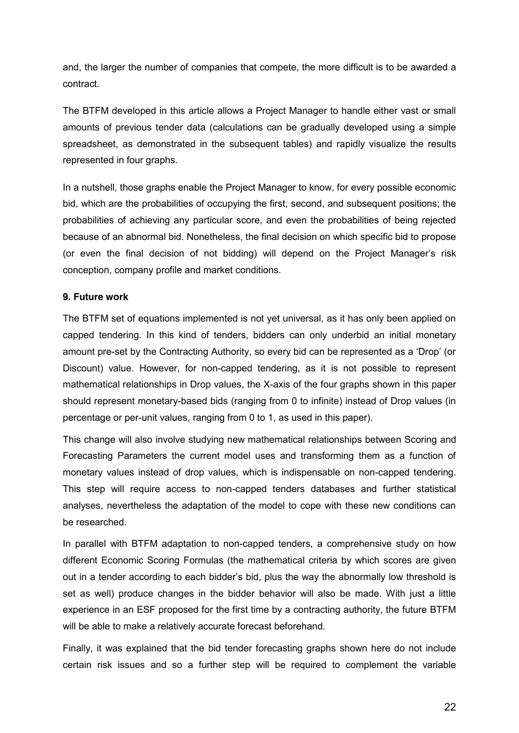and, the larger the number of companies that compete, the more difficult is to be awarded a contract.

The BTFM developed in this article allows a Project Manager to handle either vast or small amounts of previous tender data (calculations can be gradually developed using a simple spreadsheet, as demonstrated in the subsequent tables) and rapidly visualize the results represented in four graphs.

In a nutshell, those graphs enable the Project Manager to know, for every possible economic bid, which are the probabilities of occupying the first, second, and subsequent positions; the probabilities of achieving any particular score, and even the probabilities of being rejected because of an abnormal bid. Nonetheless, the final decision on which specific bid to propose (or even the final decision of not bidding) will depend on the Project Manager's risk conception, company profile and market conditions.

### **9. Future work**

The BTFM set of equations implemented is not yet universal, as it has only been applied on capped tendering. In this kind of tenders, bidders can only underbid an initial monetary amount pre-set by the Contracting Authority, so every bid can be represented as a 'Drop' (or Discount) value. However, for non-capped tendering, as it is not possible to represent mathematical relationships in Drop values, the X-axis of the four graphs shown in this paper should represent monetary-based bids (ranging from 0 to infinite) instead of Drop values (in percentage or per-unit values, ranging from 0 to 1, as used in this paper).

This change will also involve studying new mathematical relationships between Scoring and Forecasting Parameters the current model uses and transforming them as a function of monetary values instead of drop values, which is indispensable on non-capped tendering. This step will require access to non-capped tenders databases and further statistical analyses, nevertheless the adaptation of the model to cope with these new conditions can be researched.

In parallel with BTFM adaptation to non-capped tenders, a comprehensive study on how different Economic Scoring Formulas (the mathematical criteria by which scores are given out in a tender according to each bidder's bid, plus the way the abnormally low threshold is set as well) produce changes in the bidder behavior will also be made. With just a little experience in an ESF proposed for the first time by a contracting authority, the future BTFM will be able to make a relatively accurate forecast beforehand.

Finally, it was explained that the bid tender forecasting graphs shown here do not include certain risk issues and so a further step will be required to complement the variable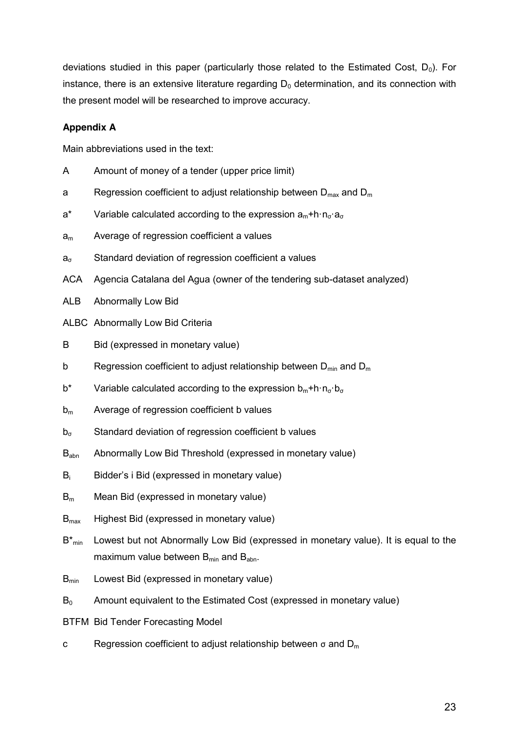deviations studied in this paper (particularly those related to the Estimated Cost,  $D_0$ ). For instance, there is an extensive literature regarding  $D_0$  determination, and its connection with the present model will be researched to improve accuracy.

# **Appendix A**

Main abbreviations used in the text:

- A Amount of money of a tender (upper price limit)
- a Regression coefficient to adjust relationship between  $D_{\text{max}}$  and  $D_{\text{m}}$
- $a^*$  Variable calculated according to the expression  $a_m + h \cdot n_{\sigma} \cdot a_{\sigma}$
- $a_m$  Average of regression coefficient a values
- $a_{\sigma}$  Standard deviation of regression coefficient a values
- ACA Agencia Catalana del Agua (owner of the tendering sub-dataset analyzed)
- ALB Abnormally Low Bid
- ALBC Abnormally Low Bid Criteria
- B Bid (expressed in monetary value)
- b Regression coefficient to adjust relationship between  $D_{min}$  and  $D_{min}$
- b<sup>\*</sup> Variable calculated according to the expression  $b_m + h \cdot n_g \cdot b_g$
- $b_m$  Average of regression coefficient b values
- $b_{\sigma}$  Standard deviation of regression coefficient b values
- B<sub>abn</sub> Abnormally Low Bid Threshold (expressed in monetary value)
- $B_i$  Bidder's i Bid (expressed in monetary value)
- $B<sub>m</sub>$  Mean Bid (expressed in monetary value)
- Bmax Highest Bid (expressed in monetary value)
- $B_{\text{min}}^*$  Lowest but not Abnormally Low Bid (expressed in monetary value). It is equal to the maximum value between  $B_{\text{min}}$  and  $B_{\text{abn}}$ .
- $B_{min}$  Lowest Bid (expressed in monetary value)
- $B_0$  Amount equivalent to the Estimated Cost (expressed in monetary value)
- BTFM Bid Tender Forecasting Model
- c Regression coefficient to adjust relationship between  $\sigma$  and  $D_m$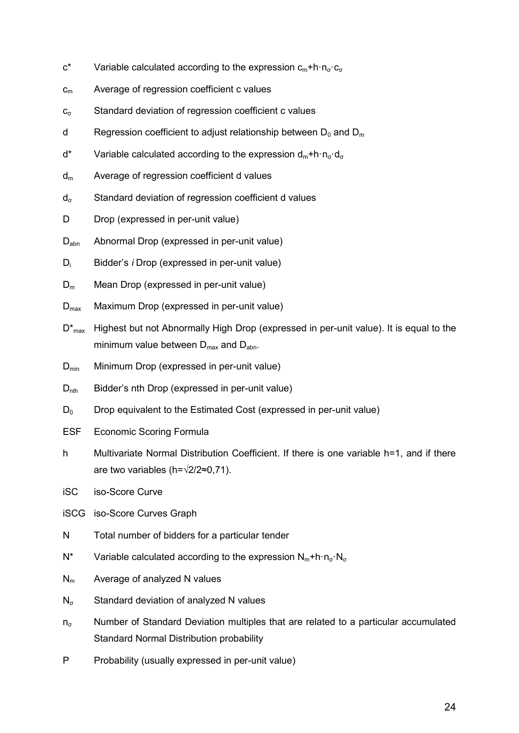- $c^*$  Variable calculated according to the expression  $c_m + h \cdot n_{\sigma} \cdot c_{\sigma}$
- $c_m$  Average of regression coefficient c values
- $c_{\sigma}$  Standard deviation of regression coefficient c values
- d Regression coefficient to adjust relationship between  $D_0$  and  $D_m$
- $d^*$  Variable calculated according to the expression  $d_m + h \cdot n_{\sigma} \cdot d_{\sigma}$
- $d_m$  Average of regression coefficient d values
- $d_{\sigma}$  Standard deviation of regression coefficient d values
- D Drop (expressed in per-unit value)
- D<sub>abn</sub> Abnormal Drop (expressed in per-unit value)
- Di Bidder's *i* Drop (expressed in per-unit value)
- $D_m$  Mean Drop (expressed in per-unit value)
- D<sub>max</sub> Maximum Drop (expressed in per-unit value)
- $D^*_{\text{max}}$  Highest but not Abnormally High Drop (expressed in per-unit value). It is equal to the minimum value between  $D_{\text{max}}$  and  $D_{\text{abn}}$ .
- $D_{\text{min}}$  Minimum Drop (expressed in per-unit value)
- $D<sub>nth</sub>$  Bidder's nth Drop (expressed in per-unit value)
- $D_0$  Drop equivalent to the Estimated Cost (expressed in per-unit value)
- ESF Economic Scoring Formula
- h Multivariate Normal Distribution Coefficient. If there is one variable h=1, and if there are two variables (h= $\sqrt{2}/2 \approx 0.71$ ).
- iSC iso-Score Curve
- iSCG iso-Score Curves Graph
- N Total number of bidders for a particular tender
- $N^*$  Variable calculated according to the expression  $N_m+h\cdot n_{\sigma}\cdot N_{\sigma}$
- $N<sub>m</sub>$  Average of analyzed N values
- $N_{\sigma}$  Standard deviation of analyzed N values
- $n_{\sigma}$  Number of Standard Deviation multiples that are related to a particular accumulated Standard Normal Distribution probability
- P Probability (usually expressed in per-unit value)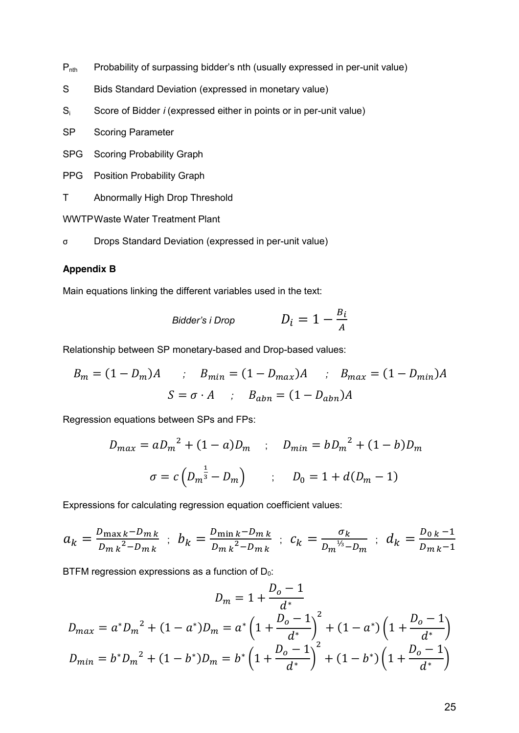- $P<sub>nth</sub>$  Probability of surpassing bidder's nth (usually expressed in per-unit value)
- S Bids Standard Deviation (expressed in monetary value)
- Si Score of Bidder *i* (expressed either in points or in per-unit value)
- SP Scoring Parameter
- SPG Scoring Probability Graph
- PPG Position Probability Graph
- T Abnormally High Drop Threshold

WWTPWaste Water Treatment Plant

σ Drops Standard Deviation (expressed in per-unit value)

#### **Appendix B**

Main equations linking the different variables used in the text:

$$
Bidder's\ i\ Drop \hspace{1cm} D_i=1-\tfrac{B_i}{A}
$$

Relationship between SP monetary-based and Drop-based values:

$$
B_m = (1 - D_m)A \qquad ; \quad B_{min} = (1 - D_{max})A \qquad ; \quad B_{max} = (1 - D_{min})A
$$

$$
S = \sigma \cdot A \qquad ; \quad B_{abn} = (1 - D_{abn})A
$$

Regression equations between SPs and FPs:

$$
D_{max} = aD_m^2 + (1 - a)D_m \quad ; \quad D_{min} = bD_m^2 + (1 - b)D_m
$$

$$
\sigma = c\left(D_m^{\frac{1}{3}} - D_m\right) \quad ; \quad D_0 = 1 + d(D_m - 1)
$$

Expressions for calculating regression equation coefficient values:

$$
a_k = \frac{D_{\max k} - D_{m k}}{D_{m k}^2 - D_{m k}} \; ; \; b_k = \frac{D_{\min k} - D_{m k}}{D_{m k}^2 - D_{m k}} \; ; \; c_k = \frac{\sigma_k}{D_m^{1/3} - D_m} \; ; \; d_k = \frac{D_{0 k} - 1}{D_{m k} - 1}
$$

BTFM regression expressions as a function of  $D_0$ :

$$
D_m = 1 + \frac{D_o - 1}{d^*}
$$
  
\n
$$
D_{max} = a^* D_m^2 + (1 - a^*) D_m = a^* \left( 1 + \frac{D_o - 1}{d^*} \right)^2 + (1 - a^*) \left( 1 + \frac{D_o - 1}{d^*} \right)
$$
  
\n
$$
D_{min} = b^* D_m^2 + (1 - b^*) D_m = b^* \left( 1 + \frac{D_o - 1}{d^*} \right)^2 + (1 - b^*) \left( 1 + \frac{D_o - 1}{d^*} \right)
$$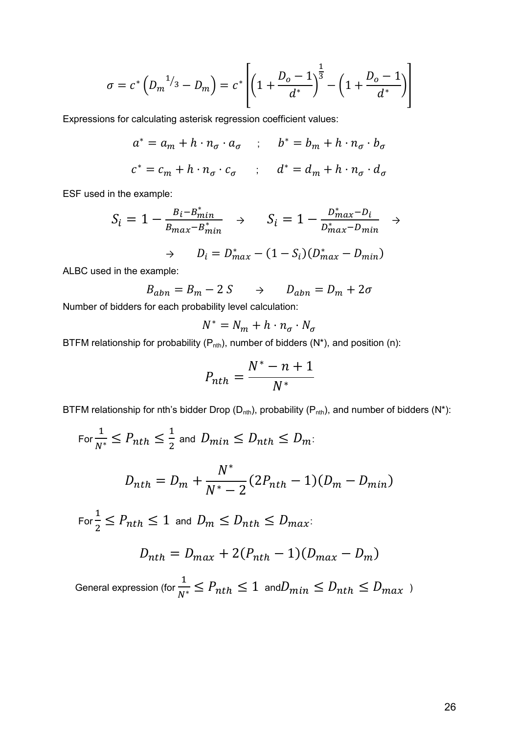$$
\sigma = c^* \left( D_m^{-1/3} - D_m \right) = c^* \left[ \left( 1 + \frac{D_o - 1}{d^*} \right)^{\frac{1}{3}} - \left( 1 + \frac{D_o - 1}{d^*} \right) \right]
$$

Expressions for calculating asterisk regression coefficient values:

$$
a^* = a_m + h \cdot n_{\sigma} \cdot a_{\sigma} \quad ; \quad b^* = b_m + h \cdot n_{\sigma} \cdot b_{\sigma}
$$

$$
c^* = c_m + h \cdot n_{\sigma} \cdot c_{\sigma} \quad ; \quad d^* = d_m + h \cdot n_{\sigma} \cdot d_{\sigma}
$$

ESF used in the example:

$$
S_i = 1 - \frac{B_i - B_{min}^*}{B_{max} - B_{min}^*} \rightarrow S_i = 1 - \frac{D_{max}^* - D_i}{D_{max}^* - D_{min}} \rightarrow
$$
  

$$
\rightarrow D_i = D_{max}^* - (1 - S_i)(D_{max}^* - D_{min})
$$

ALBC used in the example:

$$
B_{abn} = B_m - 2S \qquad \Rightarrow \qquad D_{abn} = D_m + 2\sigma
$$

Number of bidders for each probability level calculation:

$$
N^* = N_m + h \cdot n_\sigma \cdot N_\sigma
$$

BTFM relationship for probability  $(P_{nth})$ , number of bidders  $(N^*)$ , and position  $(n)$ :

$$
P_{nth} = \frac{N^* - n + 1}{N^*}
$$

BTFM relationship for nth's bidder Drop ( $D_{nth}$ ), probability ( $P_{nth}$ ), and number of bidders ( $N^*$ ):

For 
$$
\frac{1}{N^*} \le P_{nth} \le \frac{1}{2}
$$
 and  $D_{min} \le D_{nth} \le D_m$ :  
\n
$$
D_{nth} = D_m + \frac{N^*}{N^*-2} (2P_{nth} - 1)(D_m - D_{min})
$$
\nFor  $\frac{1}{2} \le P_{nth} \le 1$  and  $D_m \le D_{nth} \le D_{max}$ :  
\n
$$
D_{nth} = D_{max} + 2(P_{nth} - 1)(D_{max} - D_m)
$$

General expression (for  $\frac{1}{N^*} \leq P_{nth} \leq 1$  and $D_{min} \leq D_{nth} \leq D_{max}$  )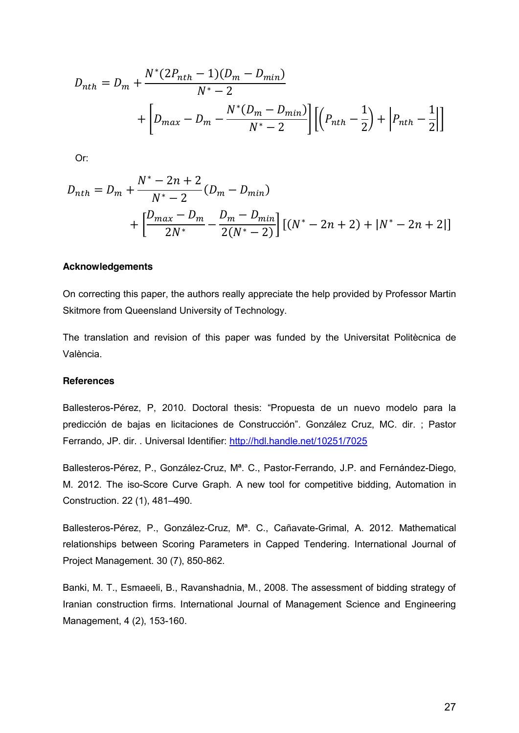$$
D_{nth} = D_m + \frac{N^*(2P_{nth} - 1)(D_m - D_{min})}{N^* - 2} + \left[D_{max} - D_m - \frac{N^*(D_m - D_{min})}{N^* - 2}\right] \left[\left(P_{nth} - \frac{1}{2}\right) + \left|P_{nth} - \frac{1}{2}\right|\right]
$$

Or:

$$
D_{nth} = D_m + \frac{N^* - 2n + 2}{N^* - 2} (D_m - D_{min})
$$
  
+ 
$$
\left[ \frac{D_{max} - D_m}{2N^*} - \frac{D_m - D_{min}}{2(N^* - 2)} \right] [(N^* - 2n + 2) + |N^* - 2n + 2|]
$$

#### **Acknowledgements**

On correcting this paper, the authors really appreciate the help provided by Professor Martin Skitmore from Queensland University of Technology.

The translation and revision of this paper was funded by the Universitat Politècnica de València.

#### **References**

Ballesteros-Pérez, P, 2010. Doctoral thesis: "Propuesta de un nuevo modelo para la predicción de bajas en licitaciones de Construcción". González Cruz, MC. dir. ; Pastor Ferrando, JP. dir. . Universal Identifier: <http://hdl.handle.net/10251/7025>

Ballesteros-Pérez, P., González-Cruz, Mª. C., Pastor-Ferrando, J.P. and Fernández-Diego, M. 2012. The iso-Score Curve Graph. A new tool for competitive bidding, Automation in Construction. 22 (1), 481–490.

Ballesteros-Pérez, P., González-Cruz, Mª. C., Cañavate-Grimal, A. 2012. Mathematical relationships between Scoring Parameters in Capped Tendering. International Journal of Project Management. 30 (7), 850-862.

Banki, M. T., Esmaeeli, B., Ravanshadnia, M., 2008. The assessment of bidding strategy of Iranian construction firms. International Journal of Management Science and Engineering Management, 4 (2), 153-160.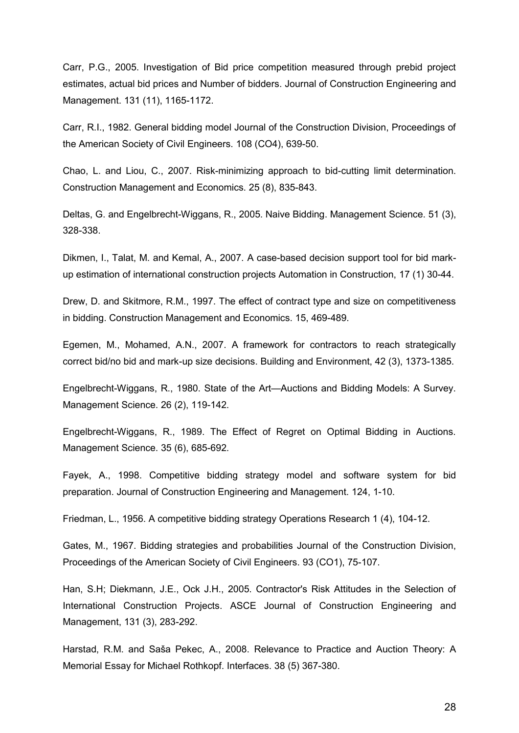Carr, P.G., 2005. Investigation of Bid price competition measured through prebid project estimates, actual bid prices and Number of bidders. Journal of Construction Engineering and Management. 131 (11), 1165-1172.

Carr, R.I., 1982. General bidding model Journal of the Construction Division, Proceedings of the American Society of Civil Engineers. 108 (CO4), 639-50.

Chao, L. and Liou, C., 2007. Risk-minimizing approach to bid-cutting limit determination. Construction Management and Economics. 25 (8), 835-843.

Deltas, G. and Engelbrecht-Wiggans, R., 2005. Naive Bidding. Management Science. 51 (3), 328-338.

Dikmen, I., Talat, M. and Kemal, A., 2007. A case-based decision support tool for bid markup estimation of international construction projects Automation in Construction, 17 (1) 30-44.

Drew, D. and Skitmore, R.M., 1997. The effect of contract type and size on competitiveness in bidding. Construction Management and Economics. 15, 469-489.

Egemen, M., Mohamed, A.N., 2007. A framework for contractors to reach strategically correct bid/no bid and mark-up size decisions. Building and Environment, 42 (3), 1373-1385.

Engelbrecht-Wiggans, R., 1980. State of the Art—Auctions and Bidding Models: A Survey. Management Science. 26 (2), 119-142.

Engelbrecht-Wiggans, R., 1989. The Effect of Regret on Optimal Bidding in Auctions. Management Science. 35 (6), 685-692.

Fayek, A., 1998. Competitive bidding strategy model and software system for bid preparation. Journal of Construction Engineering and Management. 124, 1-10.

Friedman, L., 1956. A competitive bidding strategy Operations Research 1 (4), 104-12.

Gates, M., 1967. Bidding strategies and probabilities Journal of the Construction Division, Proceedings of the American Society of Civil Engineers. 93 (CO1), 75-107.

Han, S.H; Diekmann, J.E., Ock J.H., 2005. Contractor's Risk Attitudes in the Selection of International Construction Projects. ASCE Journal of Construction Engineering and Management, 131 (3), 283-292.

Harstad, R.M. and Saša Pekec, A., 2008. Relevance to Practice and Auction Theory: A Memorial Essay for Michael Rothkopf. Interfaces. 38 (5) 367-380.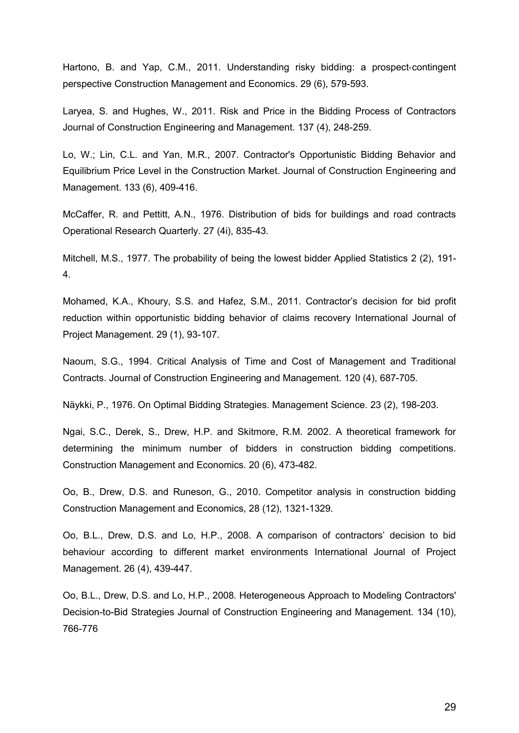Hartono, B. and Yap, C.M., 2011. Understanding risky bidding: a prospect-contingent perspective Construction Management and Economics. 29 (6), 579-593.

Laryea, S. and Hughes, W., 2011. Risk and Price in the Bidding Process of Contractors Journal of Construction Engineering and Management. 137 (4), 248-259.

Lo, W.; Lin, C.L. and Yan, M.R., 2007. Contractor's Opportunistic Bidding Behavior and Equilibrium Price Level in the Construction Market. Journal of Construction Engineering and Management. 133 (6), 409-416.

McCaffer, R. and Pettitt, A.N., 1976. Distribution of bids for buildings and road contracts Operational Research Quarterly. 27 (4i), 835-43.

Mitchell, M.S., 1977. The probability of being the lowest bidder Applied Statistics 2 (2), 191- 4.

Mohamed, K.A., Khoury, S.S. and Hafez, S.M., 2011. Contractor's decision for bid profit reduction within opportunistic bidding behavior of claims recovery International Journal of Project Management. 29 (1), 93-107.

Naoum, S.G., 1994. Critical Analysis of Time and Cost of Management and Traditional Contracts. Journal of Construction Engineering and Management. 120 (4), 687-705.

Näykki, P., 1976. On Optimal Bidding Strategies. Management Science. 23 (2), 198-203.

Ngai, S.C., Derek, S., Drew, H.P. and Skitmore, R.M. 2002. A theoretical framework for determining the minimum number of bidders in construction bidding competitions. Construction Management and Economics. 20 (6), 473-482.

Oo, B., Drew, D.S. and Runeson, G., 2010. Competitor analysis in construction bidding Construction Management and Economics, 28 (12), 1321-1329.

Oo, B.L., Drew, D.S. and Lo, H.P., 2008. A comparison of contractors' decision to bid behaviour according to different market environments International Journal of Project Management. 26 (4), 439-447.

Oo, B.L., Drew, D.S. and Lo, H.P., 2008. Heterogeneous Approach to Modeling Contractors' Decision-to-Bid Strategies Journal of Construction Engineering and Management. 134 (10), 766-776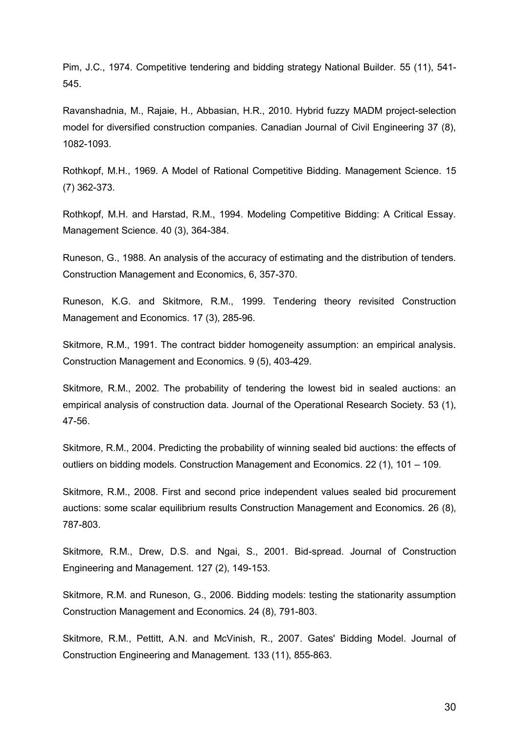Pim, J.C., 1974. Competitive tendering and bidding strategy National Builder. 55 (11), 541- 545.

Ravanshadnia, M., Rajaie, H., Abbasian, H.R., 2010. Hybrid fuzzy MADM project-selection model for diversified construction companies. Canadian Journal of Civil Engineering 37 (8), 1082-1093.

Rothkopf, M.H., 1969. A Model of Rational Competitive Bidding. Management Science. 15 (7) 362-373.

Rothkopf, M.H. and Harstad, R.M., 1994. Modeling Competitive Bidding: A Critical Essay. Management Science. 40 (3), 364-384.

Runeson, G., 1988. An analysis of the accuracy of estimating and the distribution of tenders. Construction Management and Economics, 6, 357-370.

Runeson, K.G. and Skitmore, R.M., 1999. Tendering theory revisited Construction Management and Economics. 17 (3), 285-96.

Skitmore, R.M., 1991. The contract bidder homogeneity assumption: an empirical analysis. Construction Management and Economics. 9 (5), 403-429.

Skitmore, R.M., 2002. The probability of tendering the lowest bid in sealed auctions: an empirical analysis of construction data. Journal of the Operational Research Society. 53 (1), 47-56.

Skitmore, R.M., 2004. Predicting the probability of winning sealed bid auctions: the effects of outliers on bidding models. Construction Management and Economics. 22 (1), 101 – 109.

Skitmore, R.M., 2008. First and second price independent values sealed bid procurement auctions: some scalar equilibrium results Construction Management and Economics. 26 (8), 787-803.

Skitmore, R.M., Drew, D.S. and Ngai, S., 2001. Bid-spread. Journal of Construction Engineering and Management. 127 (2), 149-153.

Skitmore, R.M. and Runeson, G., 2006. Bidding models: testing the stationarity assumption Construction Management and Economics. 24 (8), 791-803.

Skitmore, R.M., Pettitt, A.N. and McVinish, R., 2007. Gates' Bidding Model. Journal of Construction Engineering and Management. 133 (11), 855-863.

30